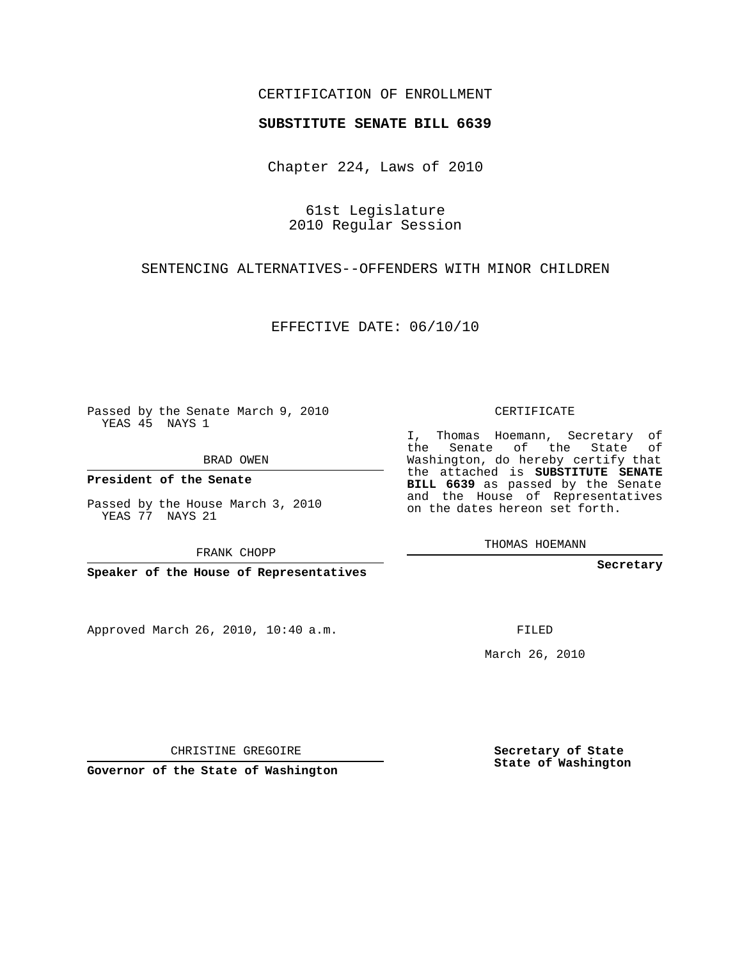## CERTIFICATION OF ENROLLMENT

#### **SUBSTITUTE SENATE BILL 6639**

Chapter 224, Laws of 2010

61st Legislature 2010 Regular Session

## SENTENCING ALTERNATIVES--OFFENDERS WITH MINOR CHILDREN

EFFECTIVE DATE: 06/10/10

Passed by the Senate March 9, 2010 YEAS 45 NAYS 1

BRAD OWEN

**President of the Senate**

Passed by the House March 3, 2010 YEAS 77 NAYS 21

FRANK CHOPP

**Speaker of the House of Representatives**

Approved March 26, 2010, 10:40 a.m.

CERTIFICATE

I, Thomas Hoemann, Secretary of the Senate of the State of Washington, do hereby certify that the attached is **SUBSTITUTE SENATE BILL 6639** as passed by the Senate and the House of Representatives on the dates hereon set forth.

THOMAS HOEMANN

**Secretary**

FILED

March 26, 2010

**Secretary of State State of Washington**

CHRISTINE GREGOIRE

**Governor of the State of Washington**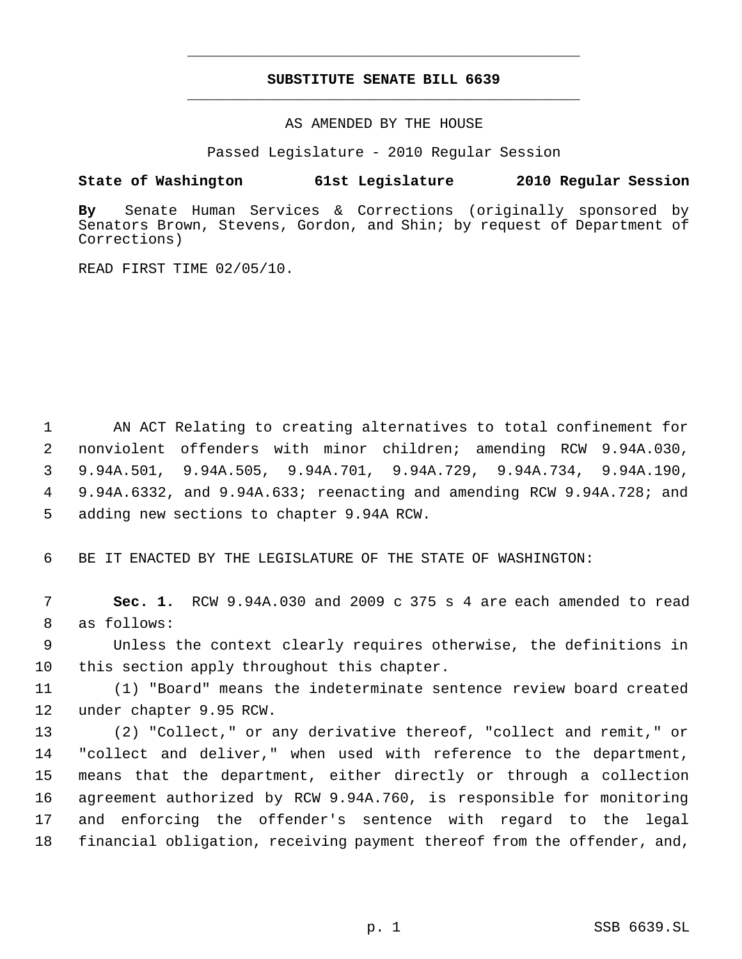# **SUBSTITUTE SENATE BILL 6639** \_\_\_\_\_\_\_\_\_\_\_\_\_\_\_\_\_\_\_\_\_\_\_\_\_\_\_\_\_\_\_\_\_\_\_\_\_\_\_\_\_\_\_\_\_

\_\_\_\_\_\_\_\_\_\_\_\_\_\_\_\_\_\_\_\_\_\_\_\_\_\_\_\_\_\_\_\_\_\_\_\_\_\_\_\_\_\_\_\_\_

AS AMENDED BY THE HOUSE

Passed Legislature - 2010 Regular Session

### **State of Washington 61st Legislature 2010 Regular Session**

**By** Senate Human Services & Corrections (originally sponsored by Senators Brown, Stevens, Gordon, and Shin; by request of Department of Corrections)

READ FIRST TIME 02/05/10.

 AN ACT Relating to creating alternatives to total confinement for nonviolent offenders with minor children; amending RCW 9.94A.030, 9.94A.501, 9.94A.505, 9.94A.701, 9.94A.729, 9.94A.734, 9.94A.190, 9.94A.6332, and 9.94A.633; reenacting and amending RCW 9.94A.728; and adding new sections to chapter 9.94A RCW.

BE IT ENACTED BY THE LEGISLATURE OF THE STATE OF WASHINGTON:

 **Sec. 1.** RCW 9.94A.030 and 2009 c 375 s 4 are each amended to read as follows:

 Unless the context clearly requires otherwise, the definitions in this section apply throughout this chapter.

 (1) "Board" means the indeterminate sentence review board created under chapter 9.95 RCW.

 (2) "Collect," or any derivative thereof, "collect and remit," or "collect and deliver," when used with reference to the department, means that the department, either directly or through a collection agreement authorized by RCW 9.94A.760, is responsible for monitoring and enforcing the offender's sentence with regard to the legal financial obligation, receiving payment thereof from the offender, and,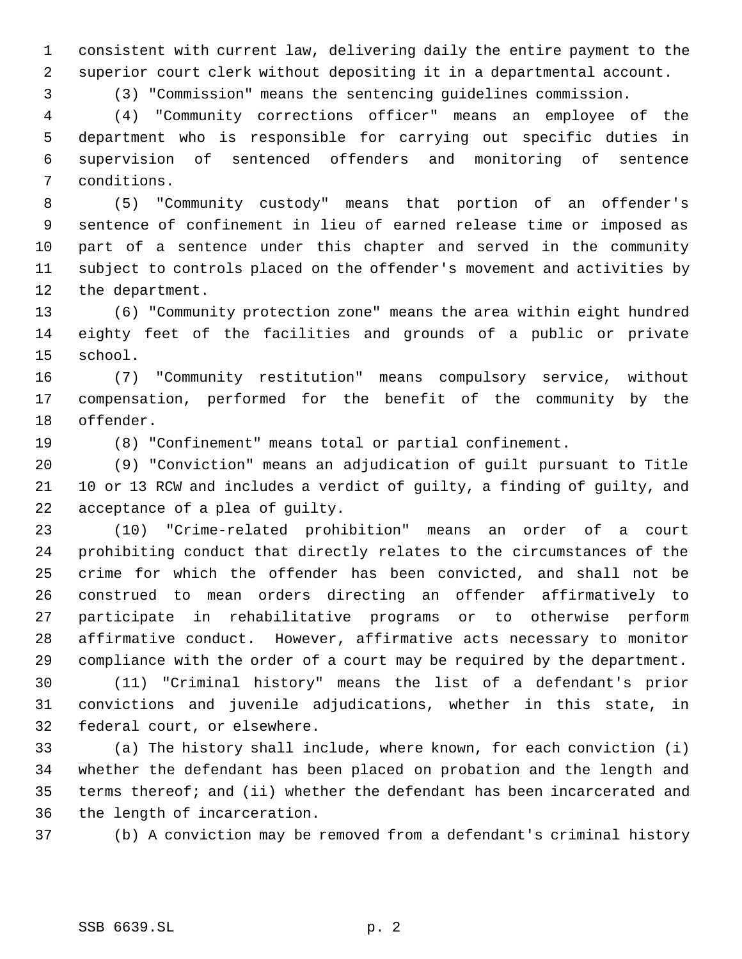consistent with current law, delivering daily the entire payment to the superior court clerk without depositing it in a departmental account.

(3) "Commission" means the sentencing guidelines commission.

 (4) "Community corrections officer" means an employee of the department who is responsible for carrying out specific duties in supervision of sentenced offenders and monitoring of sentence conditions.

 (5) "Community custody" means that portion of an offender's sentence of confinement in lieu of earned release time or imposed as part of a sentence under this chapter and served in the community subject to controls placed on the offender's movement and activities by the department.

 (6) "Community protection zone" means the area within eight hundred eighty feet of the facilities and grounds of a public or private school.

 (7) "Community restitution" means compulsory service, without compensation, performed for the benefit of the community by the offender.

(8) "Confinement" means total or partial confinement.

 (9) "Conviction" means an adjudication of guilt pursuant to Title 10 or 13 RCW and includes a verdict of guilty, a finding of guilty, and acceptance of a plea of guilty.

 (10) "Crime-related prohibition" means an order of a court prohibiting conduct that directly relates to the circumstances of the crime for which the offender has been convicted, and shall not be construed to mean orders directing an offender affirmatively to participate in rehabilitative programs or to otherwise perform affirmative conduct. However, affirmative acts necessary to monitor compliance with the order of a court may be required by the department.

 (11) "Criminal history" means the list of a defendant's prior convictions and juvenile adjudications, whether in this state, in federal court, or elsewhere.

 (a) The history shall include, where known, for each conviction (i) whether the defendant has been placed on probation and the length and terms thereof; and (ii) whether the defendant has been incarcerated and the length of incarceration.

(b) A conviction may be removed from a defendant's criminal history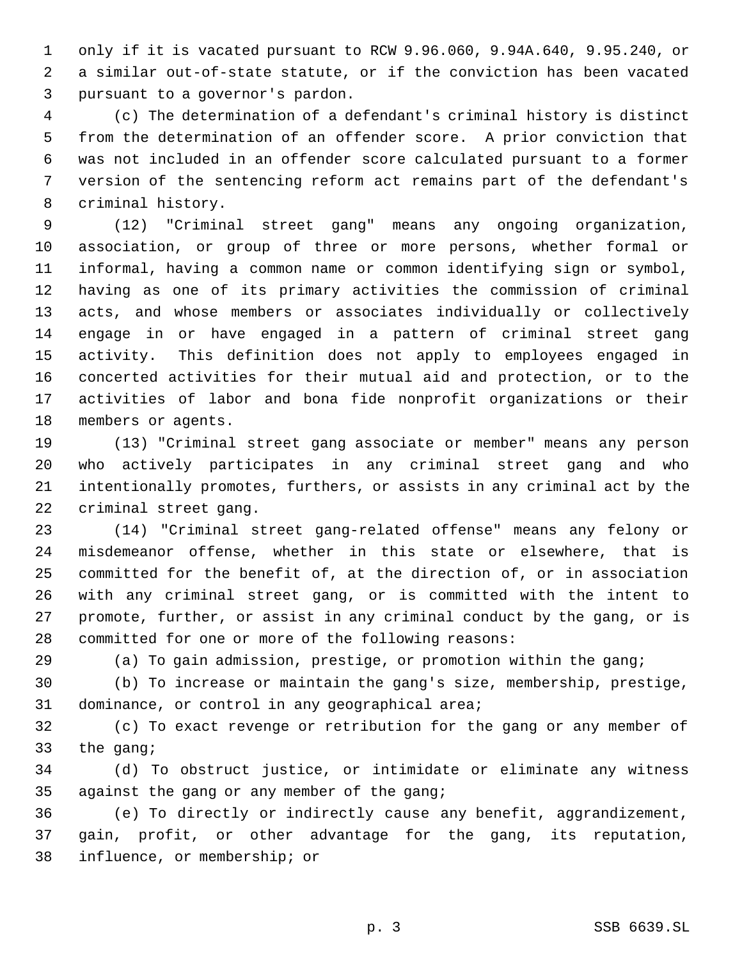only if it is vacated pursuant to RCW 9.96.060, 9.94A.640, 9.95.240, or a similar out-of-state statute, or if the conviction has been vacated pursuant to a governor's pardon.

 (c) The determination of a defendant's criminal history is distinct from the determination of an offender score. A prior conviction that was not included in an offender score calculated pursuant to a former version of the sentencing reform act remains part of the defendant's criminal history.

 (12) "Criminal street gang" means any ongoing organization, association, or group of three or more persons, whether formal or informal, having a common name or common identifying sign or symbol, having as one of its primary activities the commission of criminal acts, and whose members or associates individually or collectively engage in or have engaged in a pattern of criminal street gang activity. This definition does not apply to employees engaged in concerted activities for their mutual aid and protection, or to the activities of labor and bona fide nonprofit organizations or their members or agents.

 (13) "Criminal street gang associate or member" means any person who actively participates in any criminal street gang and who intentionally promotes, furthers, or assists in any criminal act by the criminal street gang.

 (14) "Criminal street gang-related offense" means any felony or misdemeanor offense, whether in this state or elsewhere, that is committed for the benefit of, at the direction of, or in association with any criminal street gang, or is committed with the intent to promote, further, or assist in any criminal conduct by the gang, or is committed for one or more of the following reasons:

(a) To gain admission, prestige, or promotion within the gang;

 (b) To increase or maintain the gang's size, membership, prestige, dominance, or control in any geographical area;

 (c) To exact revenge or retribution for the gang or any member of the gang;

 (d) To obstruct justice, or intimidate or eliminate any witness against the gang or any member of the gang;

 (e) To directly or indirectly cause any benefit, aggrandizement, gain, profit, or other advantage for the gang, its reputation, influence, or membership; or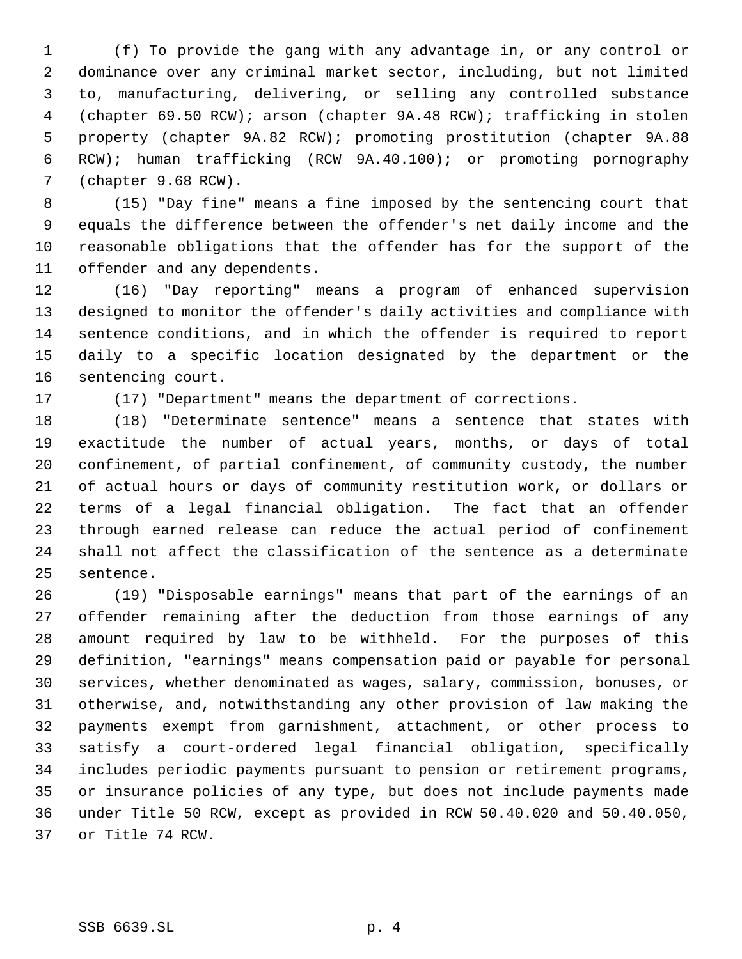(f) To provide the gang with any advantage in, or any control or dominance over any criminal market sector, including, but not limited to, manufacturing, delivering, or selling any controlled substance (chapter 69.50 RCW); arson (chapter 9A.48 RCW); trafficking in stolen property (chapter 9A.82 RCW); promoting prostitution (chapter 9A.88 RCW); human trafficking (RCW 9A.40.100); or promoting pornography (chapter 9.68 RCW).

 (15) "Day fine" means a fine imposed by the sentencing court that equals the difference between the offender's net daily income and the reasonable obligations that the offender has for the support of the offender and any dependents.

 (16) "Day reporting" means a program of enhanced supervision designed to monitor the offender's daily activities and compliance with sentence conditions, and in which the offender is required to report daily to a specific location designated by the department or the sentencing court.

(17) "Department" means the department of corrections.

 (18) "Determinate sentence" means a sentence that states with exactitude the number of actual years, months, or days of total confinement, of partial confinement, of community custody, the number of actual hours or days of community restitution work, or dollars or terms of a legal financial obligation. The fact that an offender through earned release can reduce the actual period of confinement shall not affect the classification of the sentence as a determinate sentence.

 (19) "Disposable earnings" means that part of the earnings of an offender remaining after the deduction from those earnings of any amount required by law to be withheld. For the purposes of this definition, "earnings" means compensation paid or payable for personal services, whether denominated as wages, salary, commission, bonuses, or otherwise, and, notwithstanding any other provision of law making the payments exempt from garnishment, attachment, or other process to satisfy a court-ordered legal financial obligation, specifically includes periodic payments pursuant to pension or retirement programs, or insurance policies of any type, but does not include payments made under Title 50 RCW, except as provided in RCW 50.40.020 and 50.40.050, or Title 74 RCW.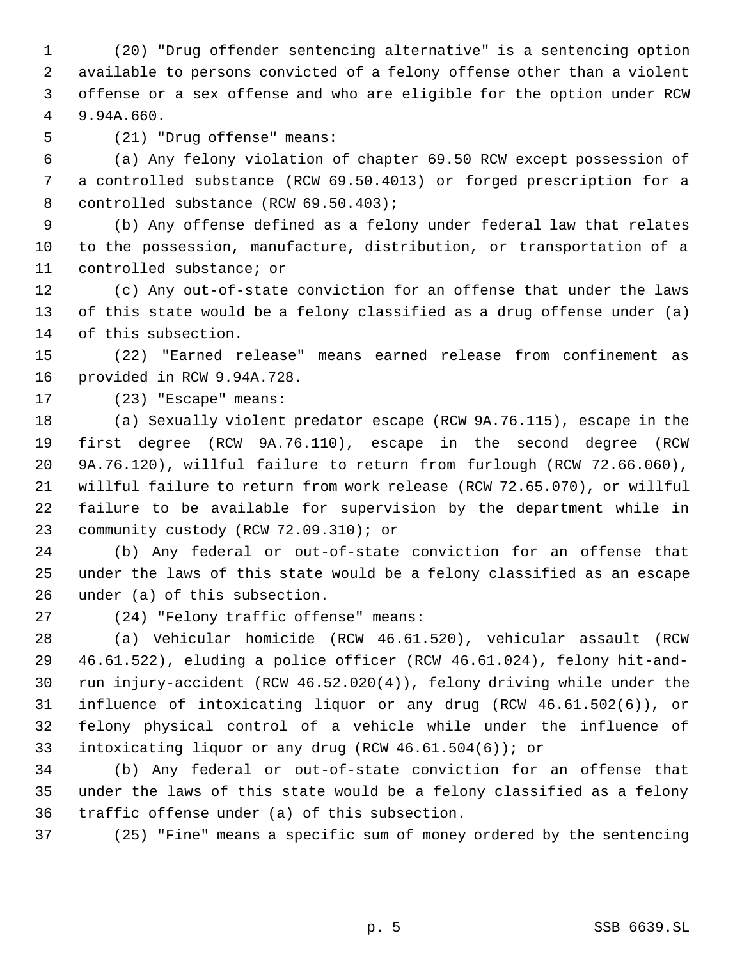(20) "Drug offender sentencing alternative" is a sentencing option available to persons convicted of a felony offense other than a violent offense or a sex offense and who are eligible for the option under RCW 9.94A.660.

(21) "Drug offense" means:

 (a) Any felony violation of chapter 69.50 RCW except possession of a controlled substance (RCW 69.50.4013) or forged prescription for a 8 controlled substance (RCW 69.50.403);

 (b) Any offense defined as a felony under federal law that relates to the possession, manufacture, distribution, or transportation of a controlled substance; or

 (c) Any out-of-state conviction for an offense that under the laws of this state would be a felony classified as a drug offense under (a) of this subsection.

 (22) "Earned release" means earned release from confinement as provided in RCW 9.94A.728.

(23) "Escape" means:

 (a) Sexually violent predator escape (RCW 9A.76.115), escape in the first degree (RCW 9A.76.110), escape in the second degree (RCW 9A.76.120), willful failure to return from furlough (RCW 72.66.060), willful failure to return from work release (RCW 72.65.070), or willful failure to be available for supervision by the department while in community custody (RCW 72.09.310); or

 (b) Any federal or out-of-state conviction for an offense that under the laws of this state would be a felony classified as an escape under (a) of this subsection.

(24) "Felony traffic offense" means:

 (a) Vehicular homicide (RCW 46.61.520), vehicular assault (RCW 46.61.522), eluding a police officer (RCW 46.61.024), felony hit-and- run injury-accident (RCW 46.52.020(4)), felony driving while under the influence of intoxicating liquor or any drug (RCW 46.61.502(6)), or felony physical control of a vehicle while under the influence of intoxicating liquor or any drug (RCW 46.61.504(6)); or

 (b) Any federal or out-of-state conviction for an offense that under the laws of this state would be a felony classified as a felony traffic offense under (a) of this subsection.

(25) "Fine" means a specific sum of money ordered by the sentencing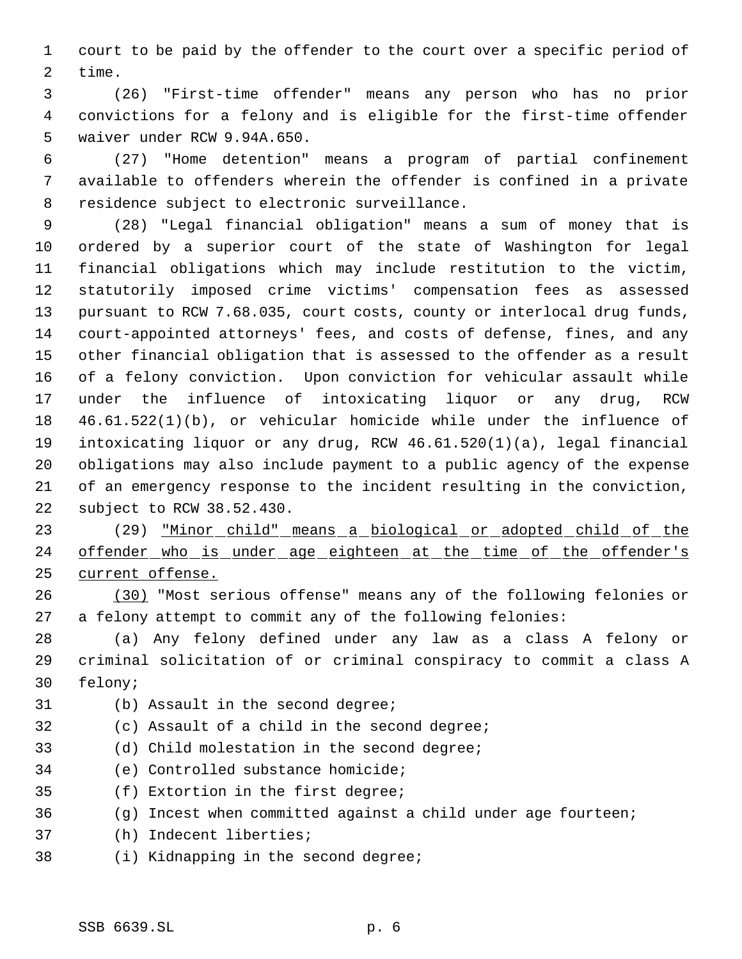court to be paid by the offender to the court over a specific period of time.

 (26) "First-time offender" means any person who has no prior convictions for a felony and is eligible for the first-time offender waiver under RCW 9.94A.650.

 (27) "Home detention" means a program of partial confinement available to offenders wherein the offender is confined in a private residence subject to electronic surveillance.

 (28) "Legal financial obligation" means a sum of money that is ordered by a superior court of the state of Washington for legal financial obligations which may include restitution to the victim, statutorily imposed crime victims' compensation fees as assessed pursuant to RCW 7.68.035, court costs, county or interlocal drug funds, court-appointed attorneys' fees, and costs of defense, fines, and any other financial obligation that is assessed to the offender as a result of a felony conviction. Upon conviction for vehicular assault while under the influence of intoxicating liquor or any drug, RCW 46.61.522(1)(b), or vehicular homicide while under the influence of intoxicating liquor or any drug, RCW 46.61.520(1)(a), legal financial obligations may also include payment to a public agency of the expense of an emergency response to the incident resulting in the conviction, subject to RCW 38.52.430.

23 (29) <u>"Minor child" means a biological or adopted child of the</u> 24 offender who is under age eighteen at the time of the offender's current offense.

 (30) "Most serious offense" means any of the following felonies or a felony attempt to commit any of the following felonies:

 (a) Any felony defined under any law as a class A felony or criminal solicitation of or criminal conspiracy to commit a class A felony;

- 
- (b) Assault in the second degree;
- (c) Assault of a child in the second degree;
- (d) Child molestation in the second degree;
- (e) Controlled substance homicide;
- (f) Extortion in the first degree;
- (g) Incest when committed against a child under age fourteen;
- (h) Indecent liberties;
- (i) Kidnapping in the second degree;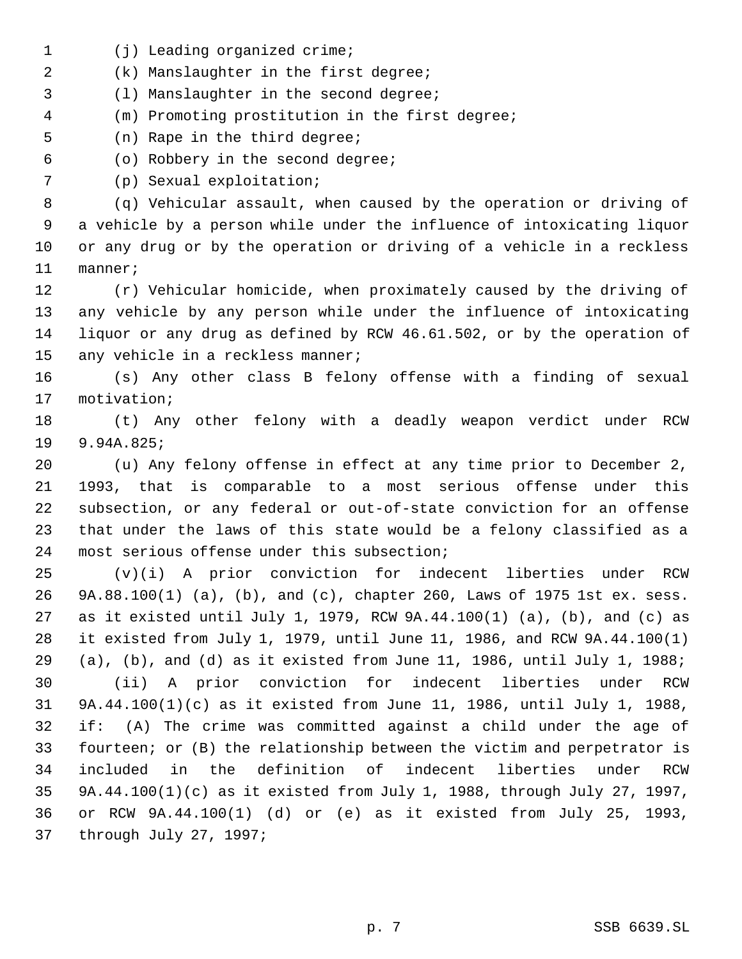- 1 (j) Leading organized crime;
- (k) Manslaughter in the first degree;
- (l) Manslaughter in the second degree;
- (m) Promoting prostitution in the first degree;
- (n) Rape in the third degree;
- (o) Robbery in the second degree;
- (p) Sexual exploitation;

 (q) Vehicular assault, when caused by the operation or driving of a vehicle by a person while under the influence of intoxicating liquor or any drug or by the operation or driving of a vehicle in a reckless manner;

 (r) Vehicular homicide, when proximately caused by the driving of any vehicle by any person while under the influence of intoxicating liquor or any drug as defined by RCW 46.61.502, or by the operation of 15 any vehicle in a reckless manner;

 (s) Any other class B felony offense with a finding of sexual motivation;

 (t) Any other felony with a deadly weapon verdict under RCW 9.94A.825;

 (u) Any felony offense in effect at any time prior to December 2, 1993, that is comparable to a most serious offense under this subsection, or any federal or out-of-state conviction for an offense that under the laws of this state would be a felony classified as a most serious offense under this subsection;

 (v)(i) A prior conviction for indecent liberties under RCW 9A.88.100(1) (a), (b), and (c), chapter 260, Laws of 1975 1st ex. sess. as it existed until July 1, 1979, RCW 9A.44.100(1) (a), (b), and (c) as it existed from July 1, 1979, until June 11, 1986, and RCW 9A.44.100(1) (a), (b), and (d) as it existed from June 11, 1986, until July 1, 1988; (ii) A prior conviction for indecent liberties under RCW 9A.44.100(1)(c) as it existed from June 11, 1986, until July 1, 1988, if: (A) The crime was committed against a child under the age of

 fourteen; or (B) the relationship between the victim and perpetrator is included in the definition of indecent liberties under RCW 9A.44.100(1)(c) as it existed from July 1, 1988, through July 27, 1997, or RCW 9A.44.100(1) (d) or (e) as it existed from July 25, 1993, through July 27, 1997;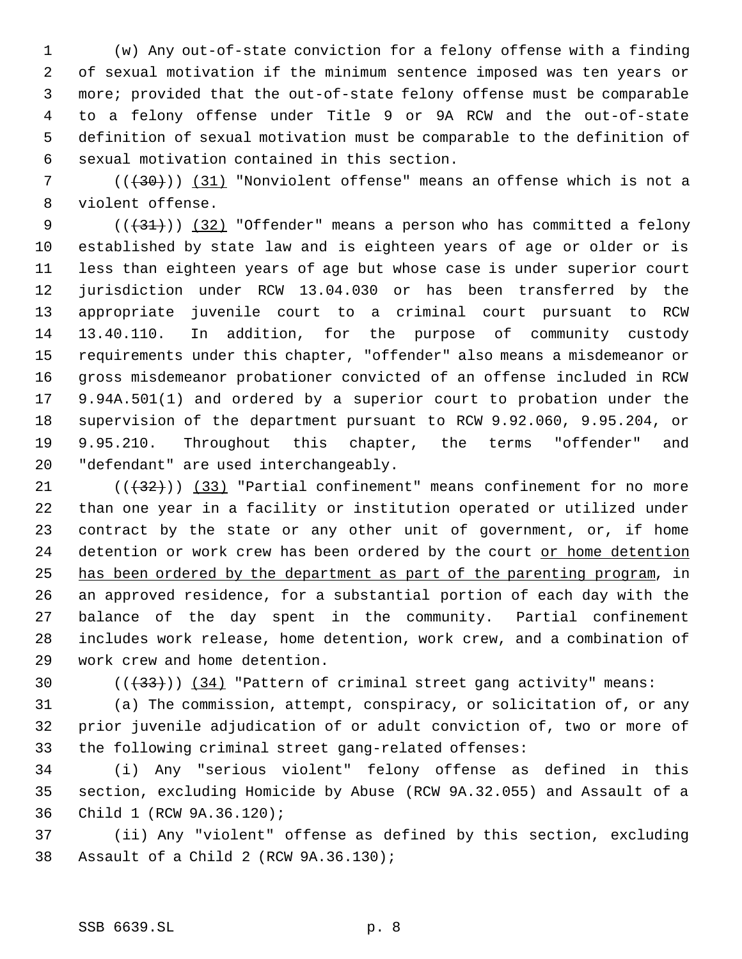(w) Any out-of-state conviction for a felony offense with a finding of sexual motivation if the minimum sentence imposed was ten years or more; provided that the out-of-state felony offense must be comparable to a felony offense under Title 9 or 9A RCW and the out-of-state definition of sexual motivation must be comparable to the definition of sexual motivation contained in this section.

7 (( $(30)$ )) (31) "Nonviolent offense" means an offense which is not a violent offense.

 $((+31))$   $(32)$  "Offender" means a person who has committed a felony established by state law and is eighteen years of age or older or is less than eighteen years of age but whose case is under superior court jurisdiction under RCW 13.04.030 or has been transferred by the appropriate juvenile court to a criminal court pursuant to RCW 13.40.110. In addition, for the purpose of community custody requirements under this chapter, "offender" also means a misdemeanor or gross misdemeanor probationer convicted of an offense included in RCW 9.94A.501(1) and ordered by a superior court to probation under the supervision of the department pursuant to RCW 9.92.060, 9.95.204, or 9.95.210. Throughout this chapter, the terms "offender" and "defendant" are used interchangeably.

 $(1)$  ( $(32)$ ) (33) "Partial confinement" means confinement for no more than one year in a facility or institution operated or utilized under contract by the state or any other unit of government, or, if home 24 detention or work crew has been ordered by the court or home detention has been ordered by the department as part of the parenting program, in an approved residence, for a substantial portion of each day with the balance of the day spent in the community. Partial confinement includes work release, home detention, work crew, and a combination of work crew and home detention.

30  $((+33))$   $(34)$  "Pattern of criminal street gang activity" means:

 (a) The commission, attempt, conspiracy, or solicitation of, or any prior juvenile adjudication of or adult conviction of, two or more of the following criminal street gang-related offenses:

 (i) Any "serious violent" felony offense as defined in this section, excluding Homicide by Abuse (RCW 9A.32.055) and Assault of a Child 1 (RCW 9A.36.120);

 (ii) Any "violent" offense as defined by this section, excluding Assault of a Child 2 (RCW 9A.36.130);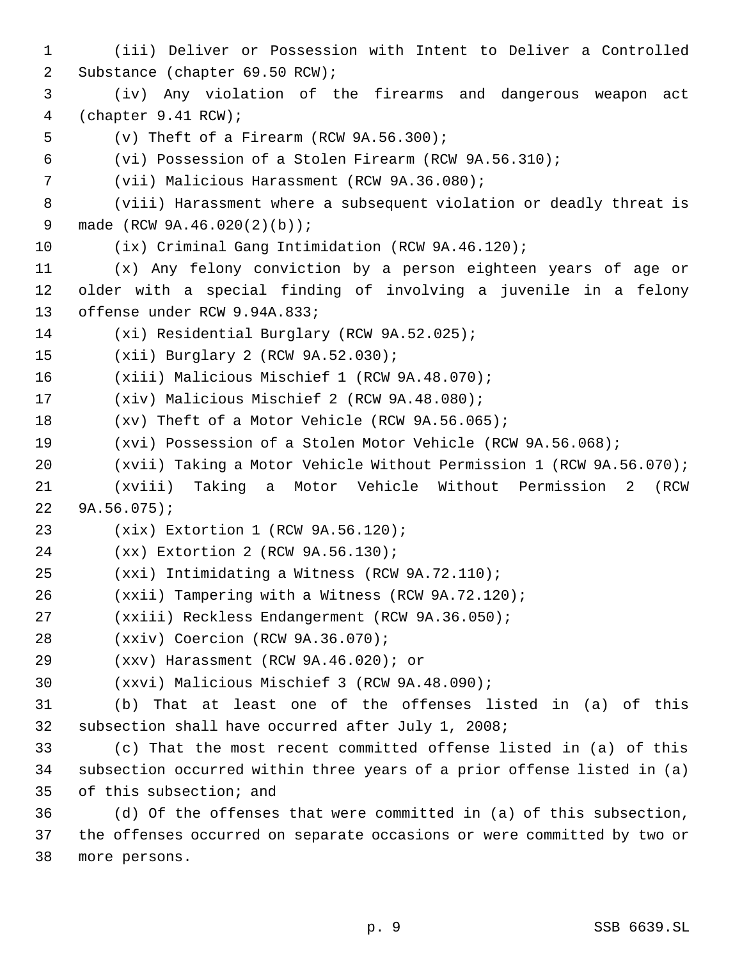(iii) Deliver or Possession with Intent to Deliver a Controlled Substance (chapter 69.50 RCW); (iv) Any violation of the firearms and dangerous weapon act (chapter 9.41 RCW); (v) Theft of a Firearm (RCW 9A.56.300); (vi) Possession of a Stolen Firearm (RCW 9A.56.310); (vii) Malicious Harassment (RCW 9A.36.080); (viii) Harassment where a subsequent violation or deadly threat is made (RCW 9A.46.020(2)(b)); (ix) Criminal Gang Intimidation (RCW 9A.46.120); (x) Any felony conviction by a person eighteen years of age or older with a special finding of involving a juvenile in a felony offense under RCW 9.94A.833; (xi) Residential Burglary (RCW 9A.52.025); (xii) Burglary 2 (RCW 9A.52.030); (xiii) Malicious Mischief 1 (RCW 9A.48.070); (xiv) Malicious Mischief 2 (RCW 9A.48.080); (xv) Theft of a Motor Vehicle (RCW 9A.56.065); (xvi) Possession of a Stolen Motor Vehicle (RCW 9A.56.068); (xvii) Taking a Motor Vehicle Without Permission 1 (RCW 9A.56.070); (xviii) Taking a Motor Vehicle Without Permission 2 (RCW 9A.56.075); (xix) Extortion 1 (RCW 9A.56.120); (xx) Extortion 2 (RCW 9A.56.130); (xxi) Intimidating a Witness (RCW 9A.72.110); (xxii) Tampering with a Witness (RCW 9A.72.120); (xxiii) Reckless Endangerment (RCW 9A.36.050); (xxiv) Coercion (RCW 9A.36.070); (xxv) Harassment (RCW 9A.46.020); or (xxvi) Malicious Mischief 3 (RCW 9A.48.090); (b) That at least one of the offenses listed in (a) of this subsection shall have occurred after July 1, 2008; (c) That the most recent committed offense listed in (a) of this subsection occurred within three years of a prior offense listed in (a) of this subsection; and (d) Of the offenses that were committed in (a) of this subsection, the offenses occurred on separate occasions or were committed by two or

more persons.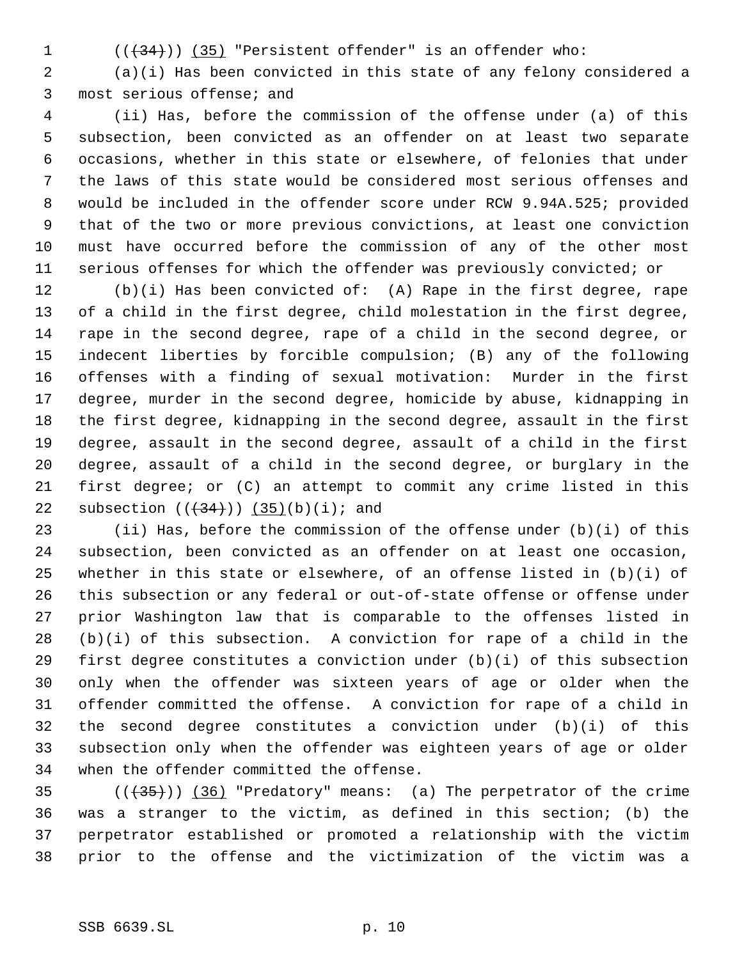$((+34))$   $(35)$  "Persistent offender" is an offender who:

 (a)(i) Has been convicted in this state of any felony considered a most serious offense; and

 (ii) Has, before the commission of the offense under (a) of this subsection, been convicted as an offender on at least two separate occasions, whether in this state or elsewhere, of felonies that under the laws of this state would be considered most serious offenses and would be included in the offender score under RCW 9.94A.525; provided that of the two or more previous convictions, at least one conviction must have occurred before the commission of any of the other most serious offenses for which the offender was previously convicted; or

 (b)(i) Has been convicted of: (A) Rape in the first degree, rape of a child in the first degree, child molestation in the first degree, rape in the second degree, rape of a child in the second degree, or indecent liberties by forcible compulsion; (B) any of the following offenses with a finding of sexual motivation: Murder in the first degree, murder in the second degree, homicide by abuse, kidnapping in the first degree, kidnapping in the second degree, assault in the first degree, assault in the second degree, assault of a child in the first degree, assault of a child in the second degree, or burglary in the first degree; or (C) an attempt to commit any crime listed in this 22 subsection  $((+34))$   $(35)(b)(i)$ ; and

 (ii) Has, before the commission of the offense under (b)(i) of this subsection, been convicted as an offender on at least one occasion, whether in this state or elsewhere, of an offense listed in (b)(i) of this subsection or any federal or out-of-state offense or offense under prior Washington law that is comparable to the offenses listed in (b)(i) of this subsection. A conviction for rape of a child in the first degree constitutes a conviction under (b)(i) of this subsection only when the offender was sixteen years of age or older when the offender committed the offense. A conviction for rape of a child in the second degree constitutes a conviction under (b)(i) of this subsection only when the offender was eighteen years of age or older when the offender committed the offense.

 $((+35))$   $(36)$  "Predatory" means: (a) The perpetrator of the crime was a stranger to the victim, as defined in this section; (b) the perpetrator established or promoted a relationship with the victim prior to the offense and the victimization of the victim was a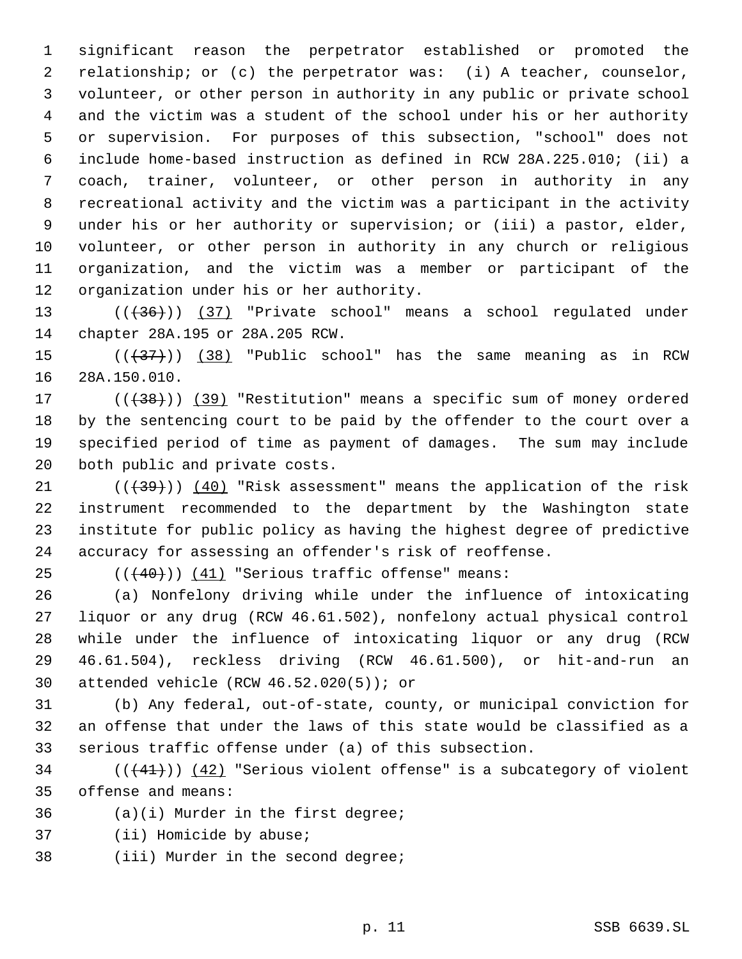significant reason the perpetrator established or promoted the relationship; or (c) the perpetrator was: (i) A teacher, counselor, volunteer, or other person in authority in any public or private school and the victim was a student of the school under his or her authority or supervision. For purposes of this subsection, "school" does not include home-based instruction as defined in RCW 28A.225.010; (ii) a coach, trainer, volunteer, or other person in authority in any recreational activity and the victim was a participant in the activity under his or her authority or supervision; or (iii) a pastor, elder, volunteer, or other person in authority in any church or religious organization, and the victim was a member or participant of the organization under his or her authority.

13 (((436)) (37) "Private school" means a school regulated under chapter 28A.195 or 28A.205 RCW.

15  $((+37))$   $(38)$  "Public school" has the same meaning as in RCW 28A.150.010.

17 (( $\left(\frac{38}{10}\right)$ ) (39) "Restitution" means a specific sum of money ordered by the sentencing court to be paid by the offender to the court over a specified period of time as payment of damages. The sum may include both public and private costs.

 $((+39))$   $(40)$  "Risk assessment" means the application of the risk instrument recommended to the department by the Washington state institute for public policy as having the highest degree of predictive accuracy for assessing an offender's risk of reoffense.

25  $((40))$  (41) "Serious traffic offense" means:

 (a) Nonfelony driving while under the influence of intoxicating liquor or any drug (RCW 46.61.502), nonfelony actual physical control while under the influence of intoxicating liquor or any drug (RCW 46.61.504), reckless driving (RCW 46.61.500), or hit-and-run an attended vehicle (RCW 46.52.020(5)); or

 (b) Any federal, out-of-state, county, or municipal conviction for an offense that under the laws of this state would be classified as a serious traffic offense under (a) of this subsection.

 (( $(41)$ )) ( $42$ ) "Serious violent offense" is a subcategory of violent offense and means:

(a)(i) Murder in the first degree;

(ii) Homicide by abuse;

(iii) Murder in the second degree;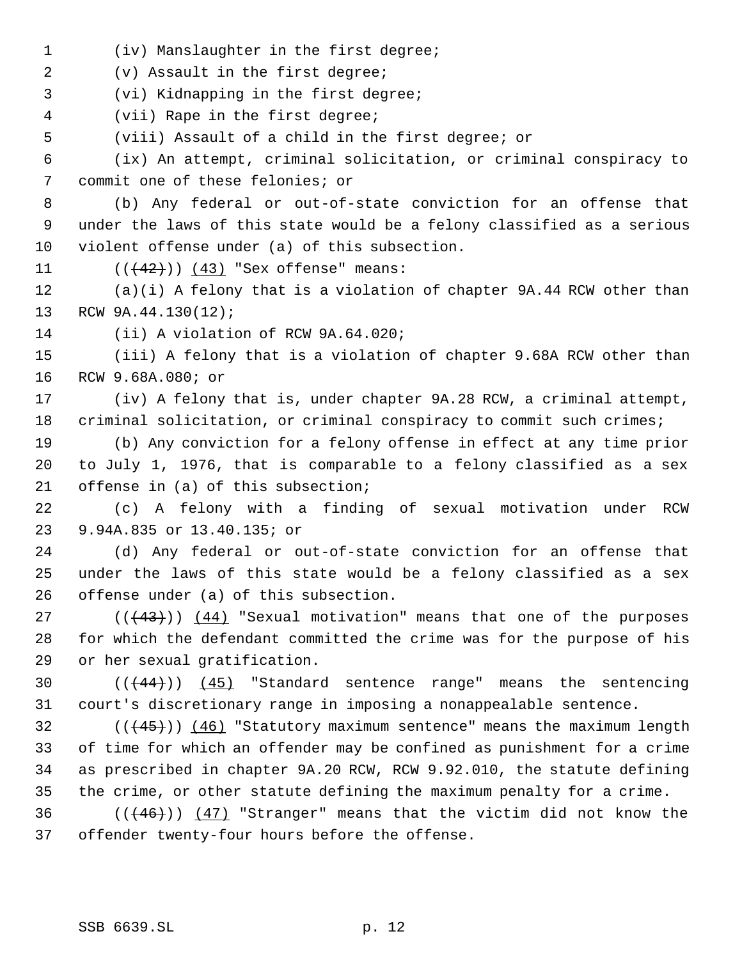(iv) Manslaughter in the first degree;

(v) Assault in the first degree;

(vi) Kidnapping in the first degree;

(vii) Rape in the first degree;

(viii) Assault of a child in the first degree; or

 (ix) An attempt, criminal solicitation, or criminal conspiracy to commit one of these felonies; or

 (b) Any federal or out-of-state conviction for an offense that under the laws of this state would be a felony classified as a serious violent offense under (a) of this subsection.

11  $((+42))$   $(43)$  "Sex offense" means:

 (a)(i) A felony that is a violation of chapter 9A.44 RCW other than RCW 9A.44.130(12);

(ii) A violation of RCW 9A.64.020;

 (iii) A felony that is a violation of chapter 9.68A RCW other than RCW 9.68A.080; or

 (iv) A felony that is, under chapter 9A.28 RCW, a criminal attempt, criminal solicitation, or criminal conspiracy to commit such crimes;

 (b) Any conviction for a felony offense in effect at any time prior to July 1, 1976, that is comparable to a felony classified as a sex offense in (a) of this subsection;

 (c) A felony with a finding of sexual motivation under RCW 9.94A.835 or 13.40.135; or

 (d) Any federal or out-of-state conviction for an offense that under the laws of this state would be a felony classified as a sex offense under (a) of this subsection.

 $((43))$   $(44)$  "Sexual motivation" means that one of the purposes for which the defendant committed the crime was for the purpose of his or her sexual gratification.

30 (( $(44)$ )) (45) "Standard sentence range" means the sentencing court's discretionary range in imposing a nonappealable sentence.

 $((445))$  (46) "Statutory maximum sentence" means the maximum length of time for which an offender may be confined as punishment for a crime as prescribed in chapter 9A.20 RCW, RCW 9.92.010, the statute defining the crime, or other statute defining the maximum penalty for a crime.

 $((46))$  (47) "Stranger" means that the victim did not know the offender twenty-four hours before the offense.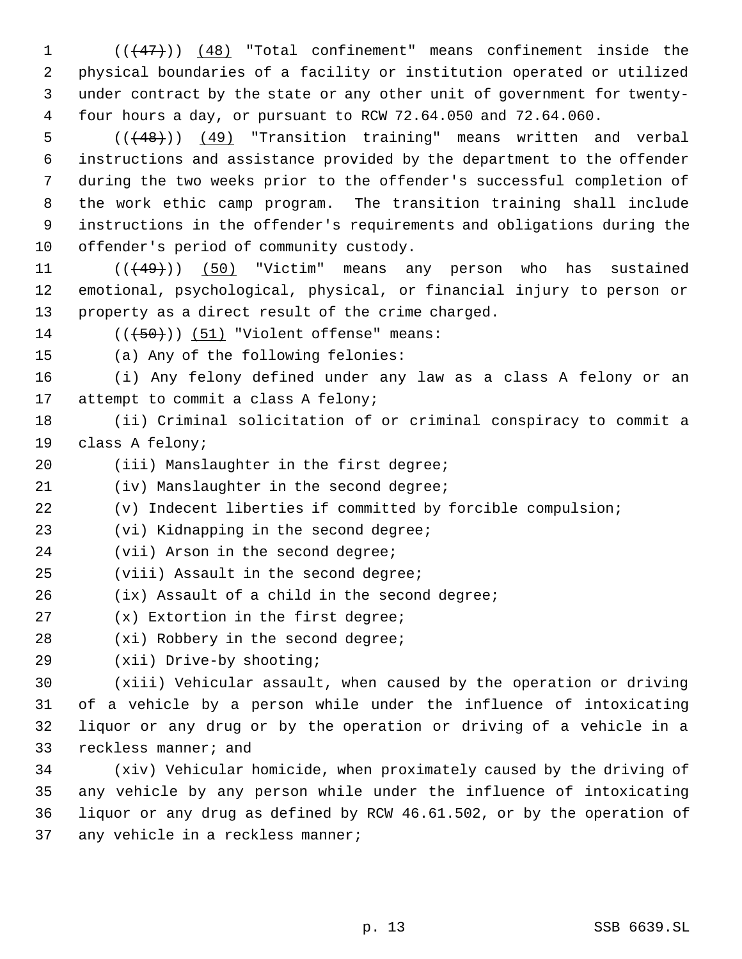1 (( $\left(\frac{47}{1}\right)$ ) (48) "Total confinement" means confinement inside the physical boundaries of a facility or institution operated or utilized under contract by the state or any other unit of government for twenty- four hours a day, or pursuant to RCW 72.64.050 and 72.64.060.

5 (( $(48)$ )) (49) "Transition training" means written and verbal instructions and assistance provided by the department to the offender during the two weeks prior to the offender's successful completion of the work ethic camp program. The transition training shall include instructions in the offender's requirements and obligations during the offender's period of community custody.

11 (((49))) (50) "Victim" means any person who has sustained emotional, psychological, physical, or financial injury to person or property as a direct result of the crime charged.

14  $((+50))$  (51) "Violent offense" means:

(a) Any of the following felonies:

 (i) Any felony defined under any law as a class A felony or an 17 attempt to commit a class A felony;

 (ii) Criminal solicitation of or criminal conspiracy to commit a class A felony;

20 (iii) Manslaughter in the first degree;

(iv) Manslaughter in the second degree;

(v) Indecent liberties if committed by forcible compulsion;

(vi) Kidnapping in the second degree;

- 24 (vii) Arson in the second degree;
- (viii) Assault in the second degree;
- (ix) Assault of a child in the second degree;

(x) Extortion in the first degree;

- 28 (xi) Robbery in the second degree;
- (xii) Drive-by shooting;

 (xiii) Vehicular assault, when caused by the operation or driving of a vehicle by a person while under the influence of intoxicating liquor or any drug or by the operation or driving of a vehicle in a reckless manner; and

 (xiv) Vehicular homicide, when proximately caused by the driving of any vehicle by any person while under the influence of intoxicating liquor or any drug as defined by RCW 46.61.502, or by the operation of 37 any vehicle in a reckless manner;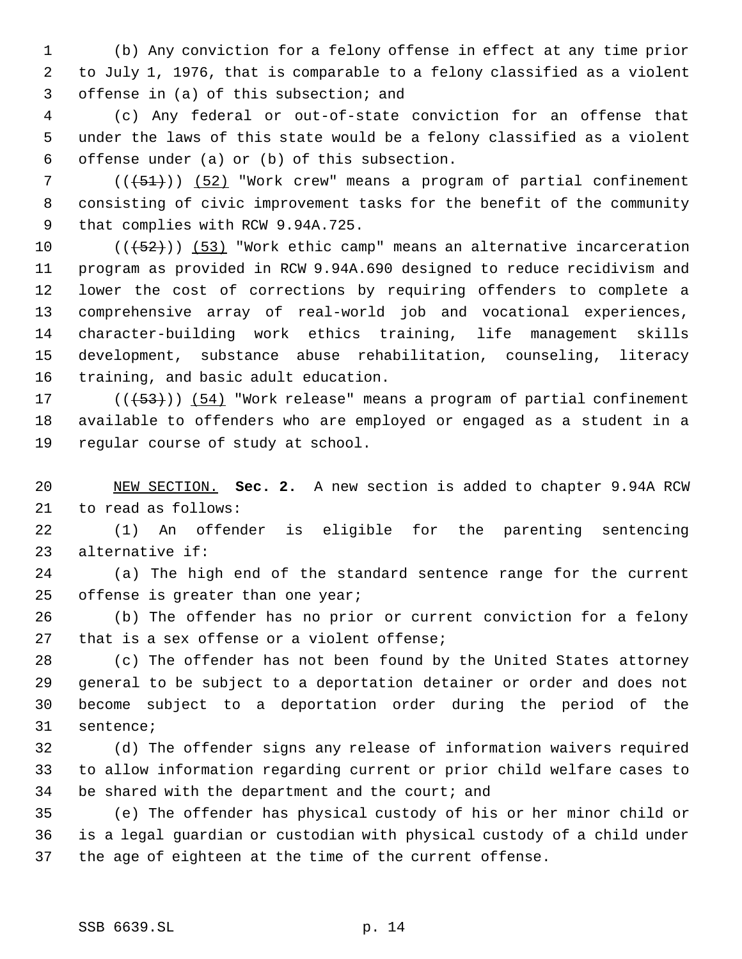(b) Any conviction for a felony offense in effect at any time prior to July 1, 1976, that is comparable to a felony classified as a violent offense in (a) of this subsection; and

 (c) Any federal or out-of-state conviction for an offense that under the laws of this state would be a felony classified as a violent offense under (a) or (b) of this subsection.

7 (( $\overline{51})$ ) (52) "Work crew" means a program of partial confinement consisting of civic improvement tasks for the benefit of the community that complies with RCW 9.94A.725.

 $((+52))$   $(53)$  "Work ethic camp" means an alternative incarceration program as provided in RCW 9.94A.690 designed to reduce recidivism and lower the cost of corrections by requiring offenders to complete a comprehensive array of real-world job and vocational experiences, character-building work ethics training, life management skills development, substance abuse rehabilitation, counseling, literacy training, and basic adult education.

17 (((+53))) (54) "Work release" means a program of partial confinement available to offenders who are employed or engaged as a student in a regular course of study at school.

 NEW SECTION. **Sec. 2.** A new section is added to chapter 9.94A RCW to read as follows:

 (1) An offender is eligible for the parenting sentencing alternative if:

 (a) The high end of the standard sentence range for the current 25 offense is greater than one year;

 (b) The offender has no prior or current conviction for a felony 27 that is a sex offense or a violent offense;

 (c) The offender has not been found by the United States attorney general to be subject to a deportation detainer or order and does not become subject to a deportation order during the period of the sentence;

 (d) The offender signs any release of information waivers required to allow information regarding current or prior child welfare cases to 34 be shared with the department and the court; and

 (e) The offender has physical custody of his or her minor child or is a legal guardian or custodian with physical custody of a child under the age of eighteen at the time of the current offense.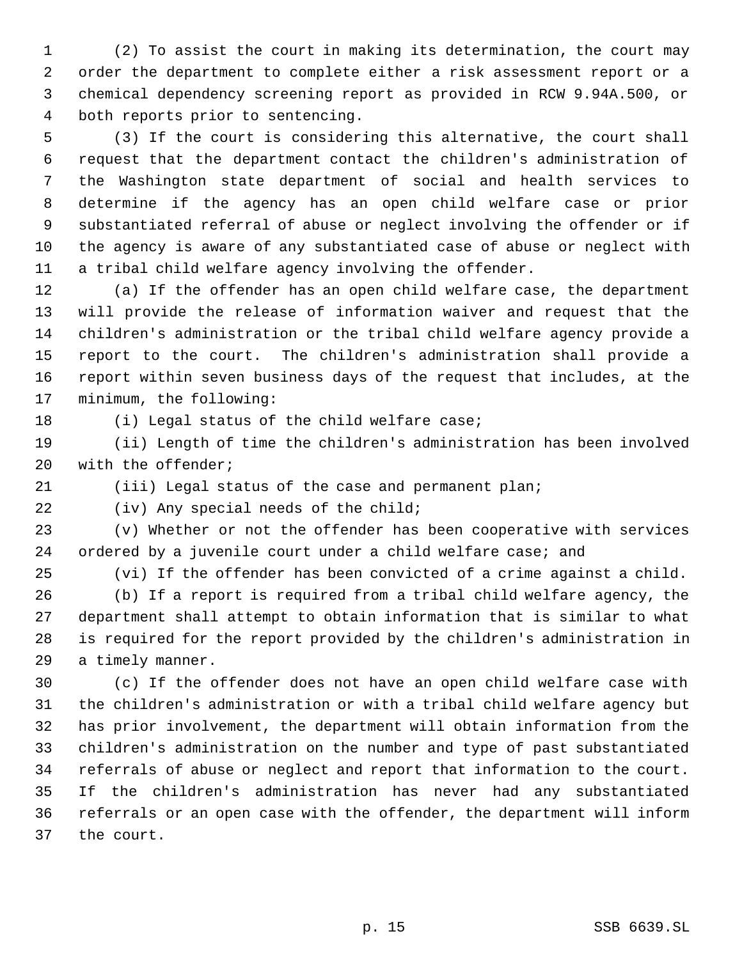(2) To assist the court in making its determination, the court may order the department to complete either a risk assessment report or a chemical dependency screening report as provided in RCW 9.94A.500, or both reports prior to sentencing.

 (3) If the court is considering this alternative, the court shall request that the department contact the children's administration of the Washington state department of social and health services to determine if the agency has an open child welfare case or prior substantiated referral of abuse or neglect involving the offender or if the agency is aware of any substantiated case of abuse or neglect with a tribal child welfare agency involving the offender.

 (a) If the offender has an open child welfare case, the department will provide the release of information waiver and request that the children's administration or the tribal child welfare agency provide a report to the court. The children's administration shall provide a report within seven business days of the request that includes, at the minimum, the following:

(i) Legal status of the child welfare case;

 (ii) Length of time the children's administration has been involved with the offender;

(iii) Legal status of the case and permanent plan;

22 (iv) Any special needs of the child;

 (v) Whether or not the offender has been cooperative with services 24 ordered by a juvenile court under a child welfare case; and

(vi) If the offender has been convicted of a crime against a child.

 (b) If a report is required from a tribal child welfare agency, the department shall attempt to obtain information that is similar to what is required for the report provided by the children's administration in a timely manner.

 (c) If the offender does not have an open child welfare case with the children's administration or with a tribal child welfare agency but has prior involvement, the department will obtain information from the children's administration on the number and type of past substantiated referrals of abuse or neglect and report that information to the court. If the children's administration has never had any substantiated referrals or an open case with the offender, the department will inform the court.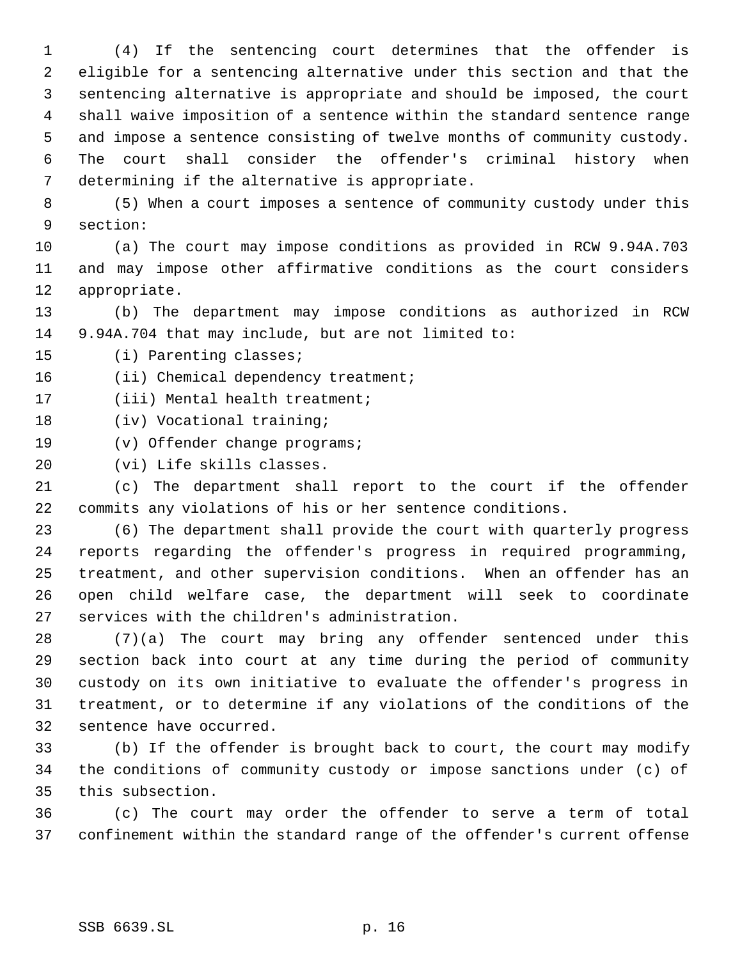(4) If the sentencing court determines that the offender is eligible for a sentencing alternative under this section and that the sentencing alternative is appropriate and should be imposed, the court shall waive imposition of a sentence within the standard sentence range and impose a sentence consisting of twelve months of community custody. The court shall consider the offender's criminal history when determining if the alternative is appropriate.

 (5) When a court imposes a sentence of community custody under this section:

 (a) The court may impose conditions as provided in RCW 9.94A.703 and may impose other affirmative conditions as the court considers appropriate.

 (b) The department may impose conditions as authorized in RCW 9.94A.704 that may include, but are not limited to:

(i) Parenting classes;

16 (ii) Chemical dependency treatment;

17 (iii) Mental health treatment;

18 (iv) Vocational training;

(v) Offender change programs;

(vi) Life skills classes.

 (c) The department shall report to the court if the offender commits any violations of his or her sentence conditions.

 (6) The department shall provide the court with quarterly progress reports regarding the offender's progress in required programming, treatment, and other supervision conditions. When an offender has an open child welfare case, the department will seek to coordinate services with the children's administration.

 (7)(a) The court may bring any offender sentenced under this section back into court at any time during the period of community custody on its own initiative to evaluate the offender's progress in treatment, or to determine if any violations of the conditions of the sentence have occurred.

 (b) If the offender is brought back to court, the court may modify the conditions of community custody or impose sanctions under (c) of this subsection.

 (c) The court may order the offender to serve a term of total confinement within the standard range of the offender's current offense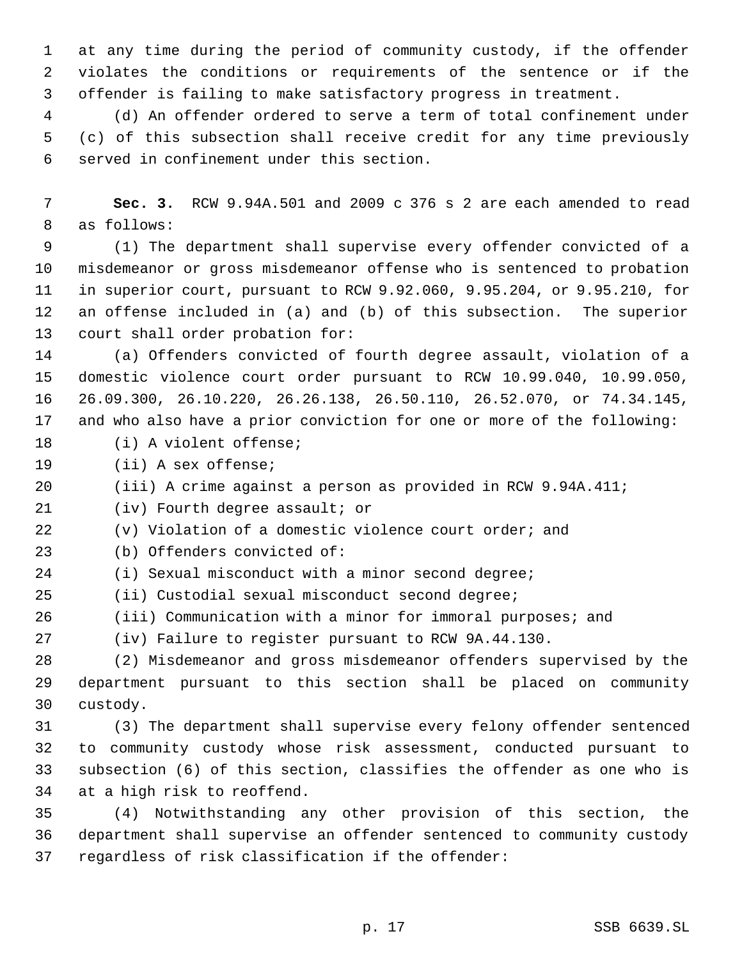at any time during the period of community custody, if the offender violates the conditions or requirements of the sentence or if the offender is failing to make satisfactory progress in treatment.

 (d) An offender ordered to serve a term of total confinement under (c) of this subsection shall receive credit for any time previously served in confinement under this section.

 **Sec. 3.** RCW 9.94A.501 and 2009 c 376 s 2 are each amended to read as follows:

 (1) The department shall supervise every offender convicted of a misdemeanor or gross misdemeanor offense who is sentenced to probation in superior court, pursuant to RCW 9.92.060, 9.95.204, or 9.95.210, for an offense included in (a) and (b) of this subsection. The superior court shall order probation for:

 (a) Offenders convicted of fourth degree assault, violation of a domestic violence court order pursuant to RCW 10.99.040, 10.99.050, 26.09.300, 26.10.220, 26.26.138, 26.50.110, 26.52.070, or 74.34.145, and who also have a prior conviction for one or more of the following:

(i) A violent offense;

(ii) A sex offense;

(iii) A crime against a person as provided in RCW 9.94A.411;

(iv) Fourth degree assault; or

(v) Violation of a domestic violence court order; and

- (b) Offenders convicted of:
- (i) Sexual misconduct with a minor second degree;
- (ii) Custodial sexual misconduct second degree;
- (iii) Communication with a minor for immoral purposes; and

(iv) Failure to register pursuant to RCW 9A.44.130.

 (2) Misdemeanor and gross misdemeanor offenders supervised by the department pursuant to this section shall be placed on community custody.

 (3) The department shall supervise every felony offender sentenced to community custody whose risk assessment, conducted pursuant to subsection (6) of this section, classifies the offender as one who is at a high risk to reoffend.

 (4) Notwithstanding any other provision of this section, the department shall supervise an offender sentenced to community custody regardless of risk classification if the offender: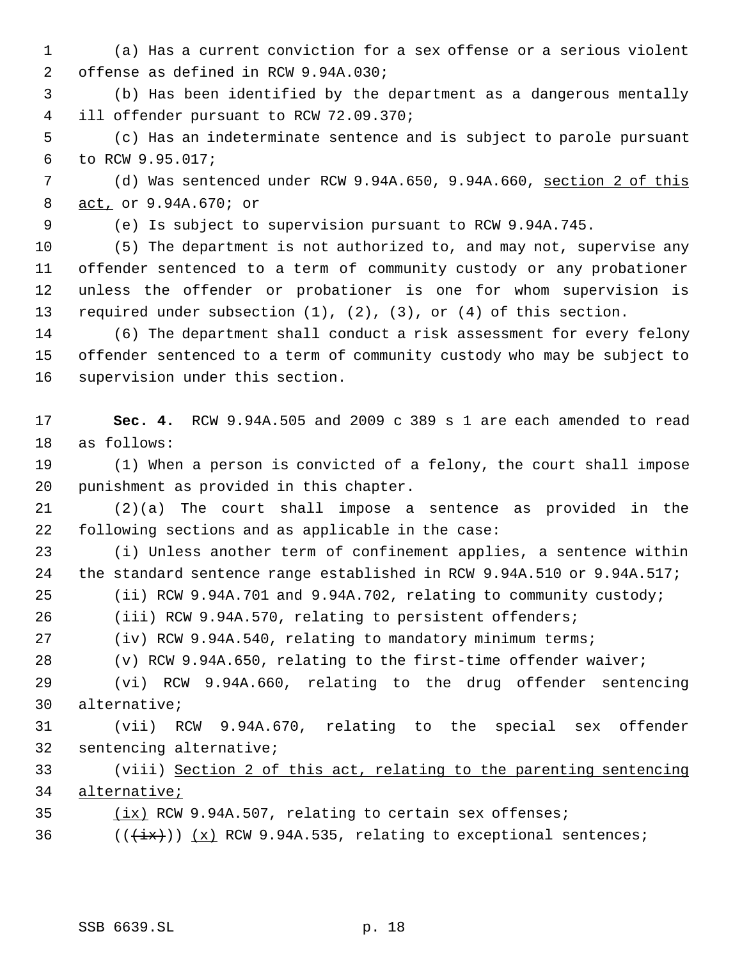- (a) Has a current conviction for a sex offense or a serious violent offense as defined in RCW 9.94A.030;
- (b) Has been identified by the department as a dangerous mentally ill offender pursuant to RCW 72.09.370;

 (c) Has an indeterminate sentence and is subject to parole pursuant to RCW 9.95.017;

 (d) Was sentenced under RCW 9.94A.650, 9.94A.660, section 2 of this act, or 9.94A.670; or

(e) Is subject to supervision pursuant to RCW 9.94A.745.

 (5) The department is not authorized to, and may not, supervise any offender sentenced to a term of community custody or any probationer unless the offender or probationer is one for whom supervision is required under subsection (1), (2), (3), or (4) of this section.

 (6) The department shall conduct a risk assessment for every felony offender sentenced to a term of community custody who may be subject to supervision under this section.

 **Sec. 4.** RCW 9.94A.505 and 2009 c 389 s 1 are each amended to read as follows:

 (1) When a person is convicted of a felony, the court shall impose punishment as provided in this chapter.

 (2)(a) The court shall impose a sentence as provided in the following sections and as applicable in the case:

 (i) Unless another term of confinement applies, a sentence within the standard sentence range established in RCW 9.94A.510 or 9.94A.517;

(ii) RCW 9.94A.701 and 9.94A.702, relating to community custody;

(iii) RCW 9.94A.570, relating to persistent offenders;

(iv) RCW 9.94A.540, relating to mandatory minimum terms;

(v) RCW 9.94A.650, relating to the first-time offender waiver;

 (vi) RCW 9.94A.660, relating to the drug offender sentencing alternative;

 (vii) RCW 9.94A.670, relating to the special sex offender sentencing alternative;

 (viii) Section 2 of this act, relating to the parenting sentencing alternative;

(ix) RCW 9.94A.507, relating to certain sex offenses;

36  $((\overline{ix}))(x)$  RCW 9.94A.535, relating to exceptional sentences;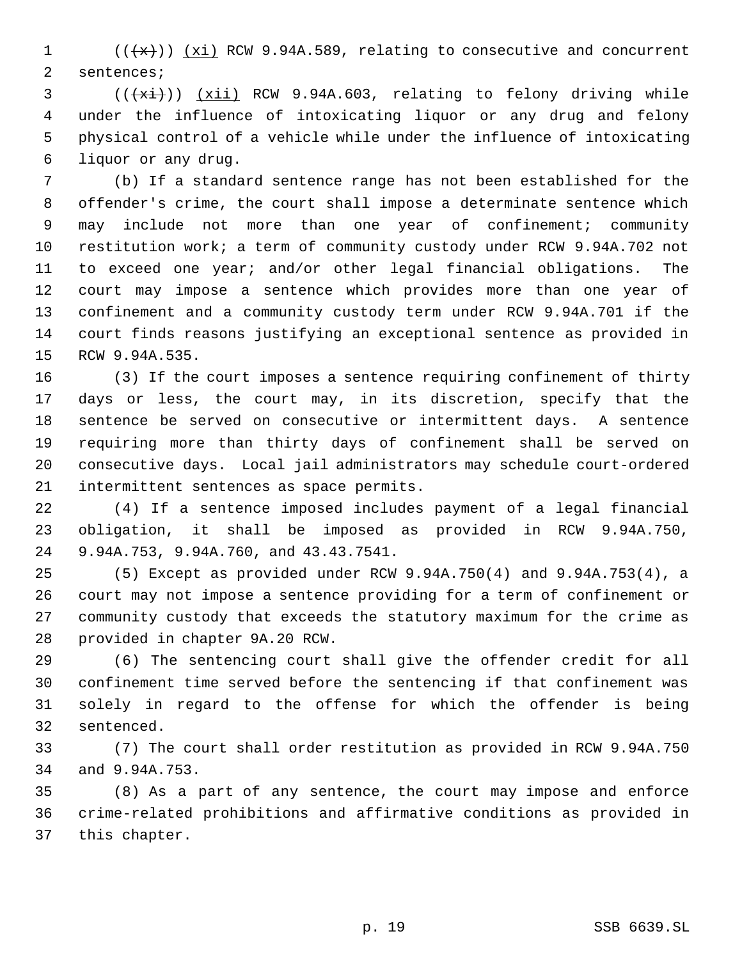$((+x))$   $(xi)$  RCW 9.94A.589, relating to consecutive and concurrent sentences;

 ( $(\frac{1}{x_i})$ ) (xii) RCW 9.94A.603, relating to felony driving while under the influence of intoxicating liquor or any drug and felony physical control of a vehicle while under the influence of intoxicating liquor or any drug.

 (b) If a standard sentence range has not been established for the offender's crime, the court shall impose a determinate sentence which 9 may include not more than one year of confinement; community restitution work; a term of community custody under RCW 9.94A.702 not to exceed one year; and/or other legal financial obligations. The court may impose a sentence which provides more than one year of confinement and a community custody term under RCW 9.94A.701 if the court finds reasons justifying an exceptional sentence as provided in RCW 9.94A.535.

 (3) If the court imposes a sentence requiring confinement of thirty days or less, the court may, in its discretion, specify that the sentence be served on consecutive or intermittent days. A sentence requiring more than thirty days of confinement shall be served on consecutive days. Local jail administrators may schedule court-ordered intermittent sentences as space permits.

 (4) If a sentence imposed includes payment of a legal financial obligation, it shall be imposed as provided in RCW 9.94A.750, 9.94A.753, 9.94A.760, and 43.43.7541.

 (5) Except as provided under RCW 9.94A.750(4) and 9.94A.753(4), a court may not impose a sentence providing for a term of confinement or community custody that exceeds the statutory maximum for the crime as provided in chapter 9A.20 RCW.

 (6) The sentencing court shall give the offender credit for all confinement time served before the sentencing if that confinement was solely in regard to the offense for which the offender is being sentenced.

 (7) The court shall order restitution as provided in RCW 9.94A.750 and 9.94A.753.

 (8) As a part of any sentence, the court may impose and enforce crime-related prohibitions and affirmative conditions as provided in this chapter.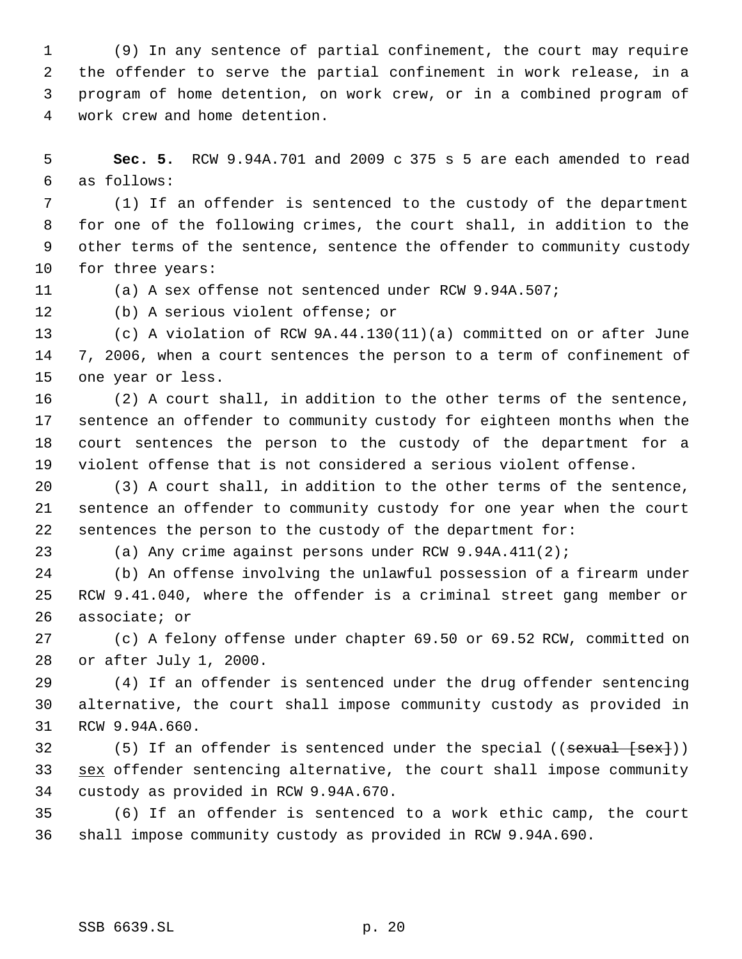(9) In any sentence of partial confinement, the court may require the offender to serve the partial confinement in work release, in a program of home detention, on work crew, or in a combined program of work crew and home detention.

 **Sec. 5.** RCW 9.94A.701 and 2009 c 375 s 5 are each amended to read as follows:

 (1) If an offender is sentenced to the custody of the department for one of the following crimes, the court shall, in addition to the other terms of the sentence, sentence the offender to community custody for three years:

(a) A sex offense not sentenced under RCW 9.94A.507;

(b) A serious violent offense; or

 (c) A violation of RCW 9A.44.130(11)(a) committed on or after June 7, 2006, when a court sentences the person to a term of confinement of one year or less.

 (2) A court shall, in addition to the other terms of the sentence, sentence an offender to community custody for eighteen months when the court sentences the person to the custody of the department for a violent offense that is not considered a serious violent offense.

 (3) A court shall, in addition to the other terms of the sentence, sentence an offender to community custody for one year when the court sentences the person to the custody of the department for:

(a) Any crime against persons under RCW 9.94A.411(2);

 (b) An offense involving the unlawful possession of a firearm under RCW 9.41.040, where the offender is a criminal street gang member or associate; or

 (c) A felony offense under chapter 69.50 or 69.52 RCW, committed on or after July 1, 2000.

 (4) If an offender is sentenced under the drug offender sentencing alternative, the court shall impose community custody as provided in RCW 9.94A.660.

32 (5) If an offender is sentenced under the special ((sexual [sex])) 33 sex offender sentencing alternative, the court shall impose community custody as provided in RCW 9.94A.670.

 (6) If an offender is sentenced to a work ethic camp, the court shall impose community custody as provided in RCW 9.94A.690.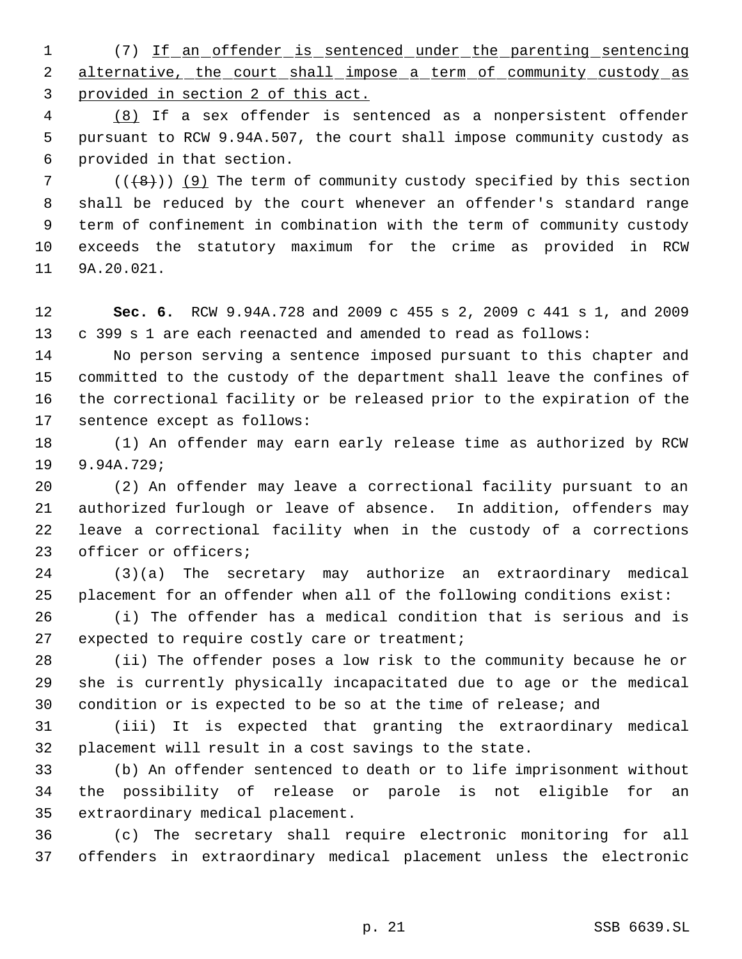(7) If an offender is sentenced under the parenting sentencing 2 alternative, the court shall impose a term of community custody as provided in section 2 of this act.

 (8) If a sex offender is sentenced as a nonpersistent offender pursuant to RCW 9.94A.507, the court shall impose community custody as provided in that section.

 $((+8))$  (9) The term of community custody specified by this section shall be reduced by the court whenever an offender's standard range term of confinement in combination with the term of community custody exceeds the statutory maximum for the crime as provided in RCW 9A.20.021.

 **Sec. 6.** RCW 9.94A.728 and 2009 c 455 s 2, 2009 c 441 s 1, and 2009 c 399 s 1 are each reenacted and amended to read as follows:

 No person serving a sentence imposed pursuant to this chapter and committed to the custody of the department shall leave the confines of the correctional facility or be released prior to the expiration of the sentence except as follows:

 (1) An offender may earn early release time as authorized by RCW 9.94A.729;

 (2) An offender may leave a correctional facility pursuant to an authorized furlough or leave of absence. In addition, offenders may leave a correctional facility when in the custody of a corrections officer or officers;

 (3)(a) The secretary may authorize an extraordinary medical placement for an offender when all of the following conditions exist:

 (i) The offender has a medical condition that is serious and is expected to require costly care or treatment;

 (ii) The offender poses a low risk to the community because he or she is currently physically incapacitated due to age or the medical condition or is expected to be so at the time of release; and

 (iii) It is expected that granting the extraordinary medical placement will result in a cost savings to the state.

 (b) An offender sentenced to death or to life imprisonment without the possibility of release or parole is not eligible for an extraordinary medical placement.

 (c) The secretary shall require electronic monitoring for all offenders in extraordinary medical placement unless the electronic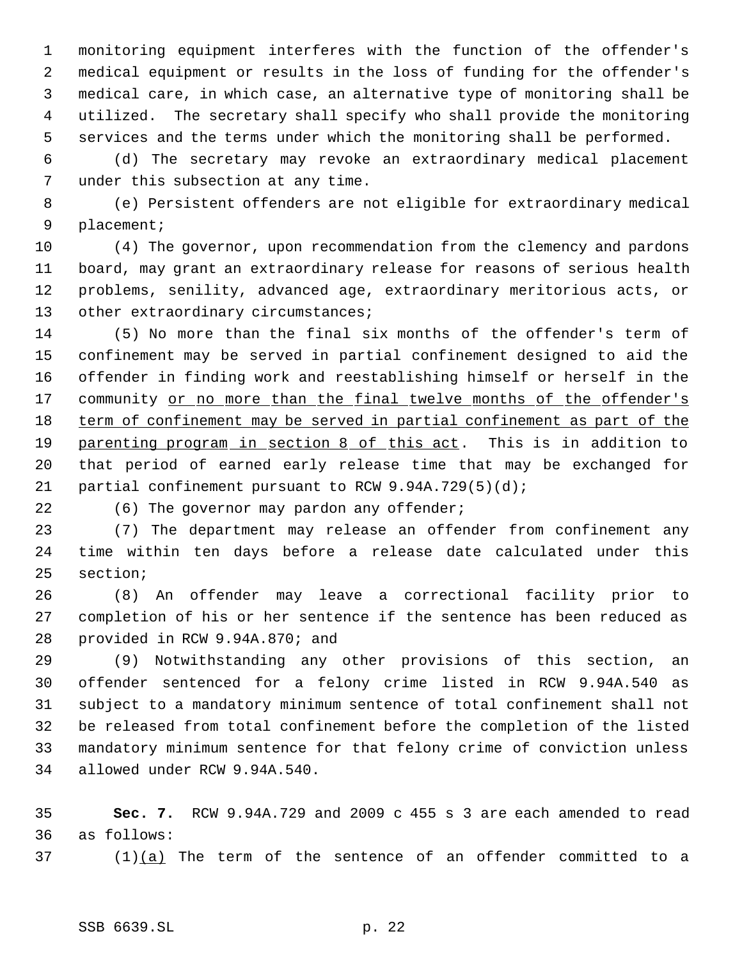monitoring equipment interferes with the function of the offender's medical equipment or results in the loss of funding for the offender's medical care, in which case, an alternative type of monitoring shall be utilized. The secretary shall specify who shall provide the monitoring services and the terms under which the monitoring shall be performed.

 (d) The secretary may revoke an extraordinary medical placement under this subsection at any time.

 (e) Persistent offenders are not eligible for extraordinary medical placement;

 (4) The governor, upon recommendation from the clemency and pardons board, may grant an extraordinary release for reasons of serious health problems, senility, advanced age, extraordinary meritorious acts, or 13 other extraordinary circumstances;

 (5) No more than the final six months of the offender's term of confinement may be served in partial confinement designed to aid the offender in finding work and reestablishing himself or herself in the 17 community or no more than the final twelve months of the offender's term of confinement may be served in partial confinement as part of the 19 parenting program in section 8 of this act. This is in addition to that period of earned early release time that may be exchanged for partial confinement pursuant to RCW 9.94A.729(5)(d);

22 (6) The governor may pardon any offender;

 (7) The department may release an offender from confinement any time within ten days before a release date calculated under this section;

 (8) An offender may leave a correctional facility prior to completion of his or her sentence if the sentence has been reduced as provided in RCW 9.94A.870; and

 (9) Notwithstanding any other provisions of this section, an offender sentenced for a felony crime listed in RCW 9.94A.540 as subject to a mandatory minimum sentence of total confinement shall not be released from total confinement before the completion of the listed mandatory minimum sentence for that felony crime of conviction unless allowed under RCW 9.94A.540.

 **Sec. 7.** RCW 9.94A.729 and 2009 c 455 s 3 are each amended to read as follows:

37  $(1)(a)$  The term of the sentence of an offender committed to a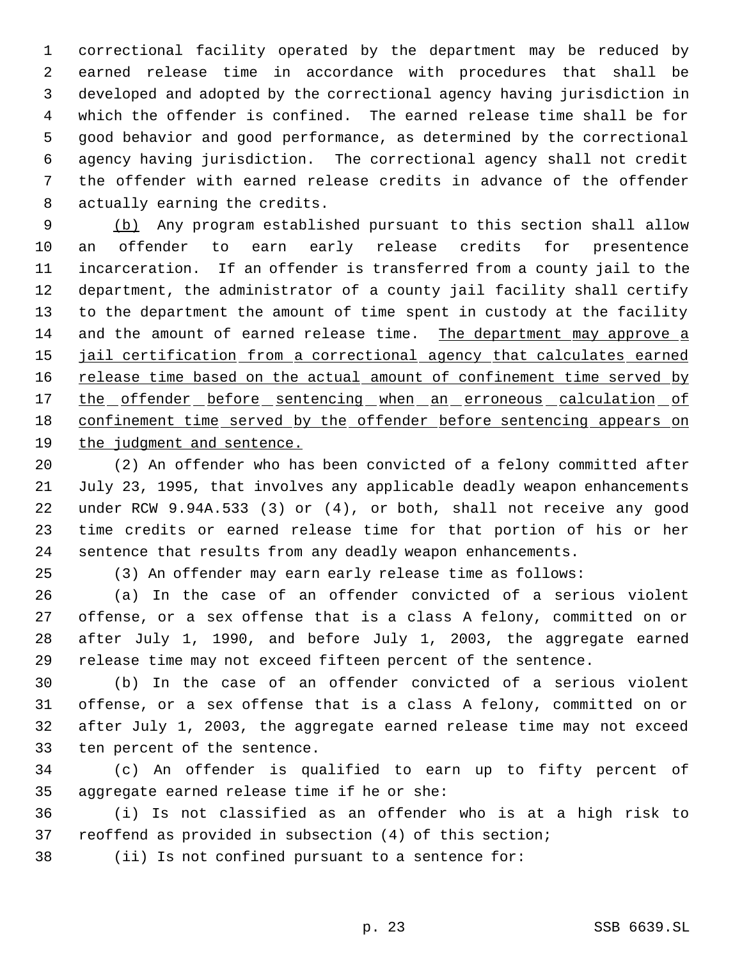correctional facility operated by the department may be reduced by earned release time in accordance with procedures that shall be developed and adopted by the correctional agency having jurisdiction in which the offender is confined. The earned release time shall be for good behavior and good performance, as determined by the correctional agency having jurisdiction. The correctional agency shall not credit the offender with earned release credits in advance of the offender actually earning the credits.

 (b) Any program established pursuant to this section shall allow an offender to earn early release credits for presentence incarceration. If an offender is transferred from a county jail to the department, the administrator of a county jail facility shall certify to the department the amount of time spent in custody at the facility and the amount of earned release time. The department may approve a 15 jail certification from a correctional agency that calculates earned 16 release time based on the actual amount of confinement time served by 17 the offender before sentencing when an erroneous calculation of confinement time served by the offender before sentencing appears on the judgment and sentence.

 (2) An offender who has been convicted of a felony committed after July 23, 1995, that involves any applicable deadly weapon enhancements under RCW 9.94A.533 (3) or (4), or both, shall not receive any good time credits or earned release time for that portion of his or her sentence that results from any deadly weapon enhancements.

(3) An offender may earn early release time as follows:

 (a) In the case of an offender convicted of a serious violent offense, or a sex offense that is a class A felony, committed on or after July 1, 1990, and before July 1, 2003, the aggregate earned release time may not exceed fifteen percent of the sentence.

 (b) In the case of an offender convicted of a serious violent offense, or a sex offense that is a class A felony, committed on or after July 1, 2003, the aggregate earned release time may not exceed ten percent of the sentence.

 (c) An offender is qualified to earn up to fifty percent of aggregate earned release time if he or she:

 (i) Is not classified as an offender who is at a high risk to reoffend as provided in subsection (4) of this section;

(ii) Is not confined pursuant to a sentence for: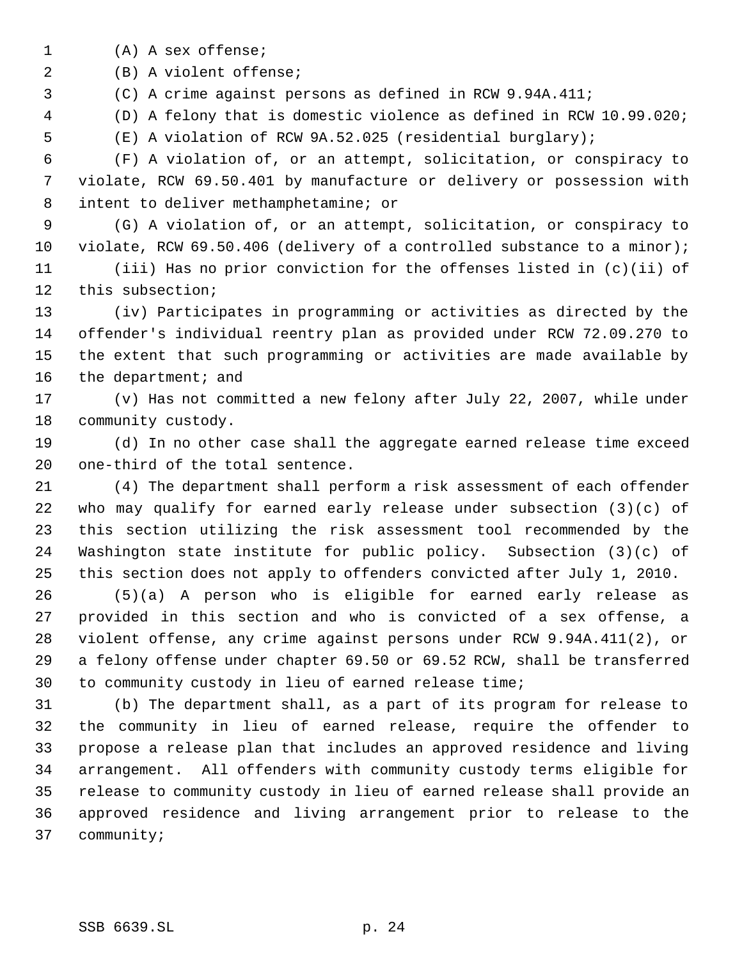(A) A sex offense;

(B) A violent offense;

(C) A crime against persons as defined in RCW 9.94A.411;

(D) A felony that is domestic violence as defined in RCW 10.99.020;

(E) A violation of RCW 9A.52.025 (residential burglary);

 (F) A violation of, or an attempt, solicitation, or conspiracy to violate, RCW 69.50.401 by manufacture or delivery or possession with intent to deliver methamphetamine; or

 (G) A violation of, or an attempt, solicitation, or conspiracy to violate, RCW 69.50.406 (delivery of a controlled substance to a minor);

 (iii) Has no prior conviction for the offenses listed in (c)(ii) of this subsection;

 (iv) Participates in programming or activities as directed by the offender's individual reentry plan as provided under RCW 72.09.270 to the extent that such programming or activities are made available by 16 the department; and

 (v) Has not committed a new felony after July 22, 2007, while under community custody.

 (d) In no other case shall the aggregate earned release time exceed one-third of the total sentence.

 (4) The department shall perform a risk assessment of each offender who may qualify for earned early release under subsection (3)(c) of this section utilizing the risk assessment tool recommended by the Washington state institute for public policy. Subsection (3)(c) of this section does not apply to offenders convicted after July 1, 2010.

 (5)(a) A person who is eligible for earned early release as provided in this section and who is convicted of a sex offense, a violent offense, any crime against persons under RCW 9.94A.411(2), or a felony offense under chapter 69.50 or 69.52 RCW, shall be transferred to community custody in lieu of earned release time;

 (b) The department shall, as a part of its program for release to the community in lieu of earned release, require the offender to propose a release plan that includes an approved residence and living arrangement. All offenders with community custody terms eligible for release to community custody in lieu of earned release shall provide an approved residence and living arrangement prior to release to the community;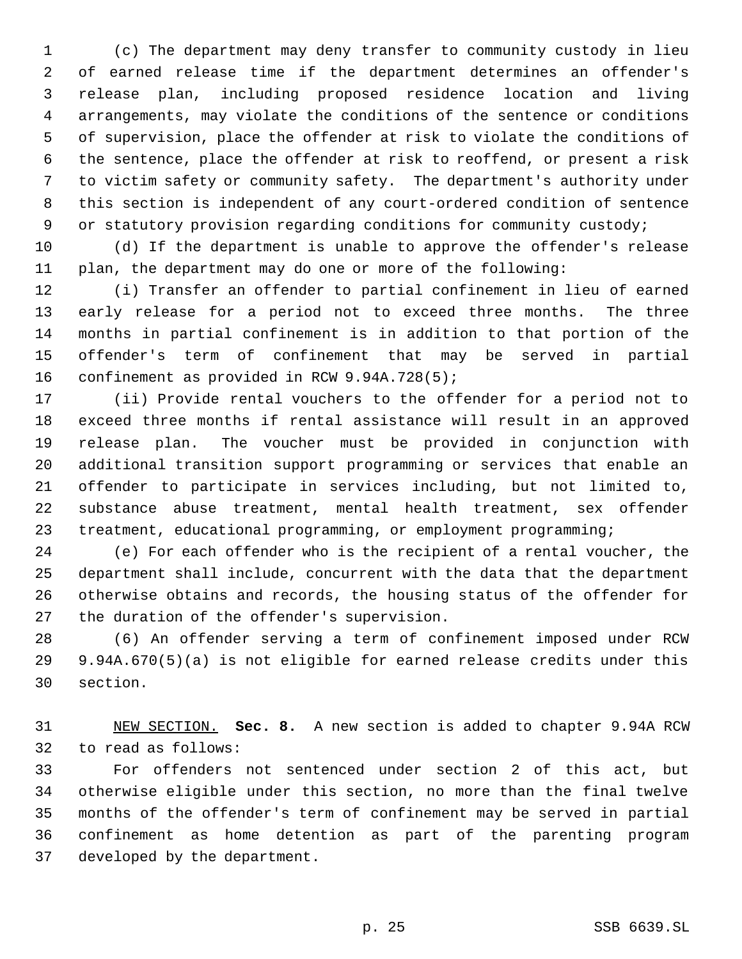(c) The department may deny transfer to community custody in lieu of earned release time if the department determines an offender's release plan, including proposed residence location and living arrangements, may violate the conditions of the sentence or conditions of supervision, place the offender at risk to violate the conditions of the sentence, place the offender at risk to reoffend, or present a risk to victim safety or community safety. The department's authority under this section is independent of any court-ordered condition of sentence 9 or statutory provision regarding conditions for community custody;

 (d) If the department is unable to approve the offender's release plan, the department may do one or more of the following:

 (i) Transfer an offender to partial confinement in lieu of earned early release for a period not to exceed three months. The three months in partial confinement is in addition to that portion of the offender's term of confinement that may be served in partial confinement as provided in RCW 9.94A.728(5);

 (ii) Provide rental vouchers to the offender for a period not to exceed three months if rental assistance will result in an approved release plan. The voucher must be provided in conjunction with additional transition support programming or services that enable an offender to participate in services including, but not limited to, substance abuse treatment, mental health treatment, sex offender treatment, educational programming, or employment programming;

 (e) For each offender who is the recipient of a rental voucher, the department shall include, concurrent with the data that the department otherwise obtains and records, the housing status of the offender for the duration of the offender's supervision.

 (6) An offender serving a term of confinement imposed under RCW 9.94A.670(5)(a) is not eligible for earned release credits under this section.

 NEW SECTION. **Sec. 8.** A new section is added to chapter 9.94A RCW to read as follows:

 For offenders not sentenced under section 2 of this act, but otherwise eligible under this section, no more than the final twelve months of the offender's term of confinement may be served in partial confinement as home detention as part of the parenting program developed by the department.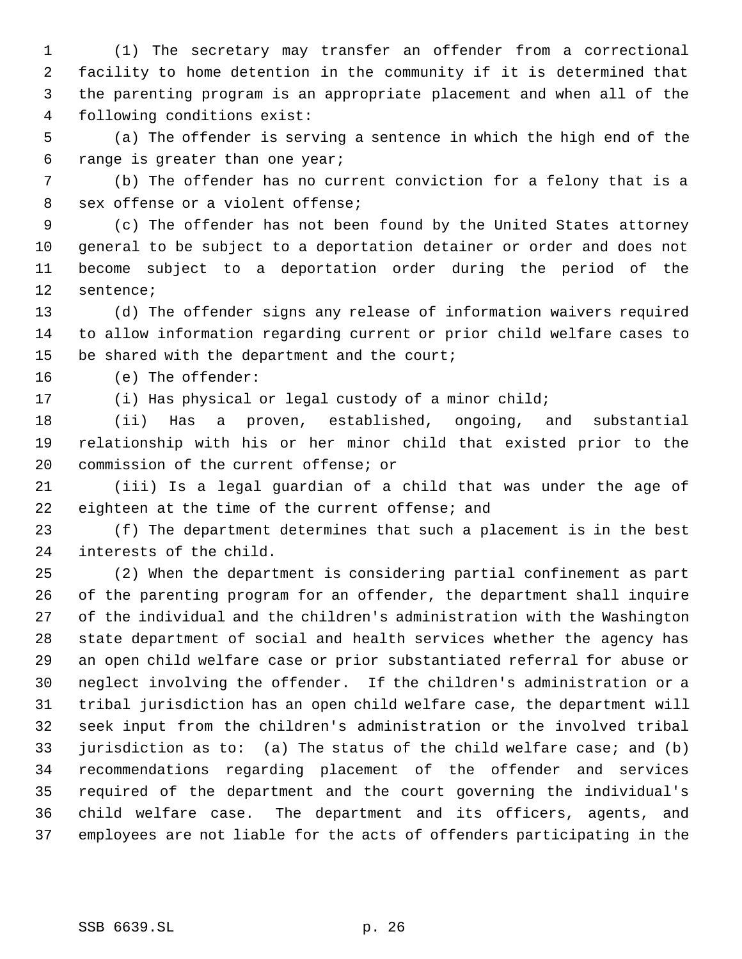(1) The secretary may transfer an offender from a correctional facility to home detention in the community if it is determined that the parenting program is an appropriate placement and when all of the following conditions exist:

 (a) The offender is serving a sentence in which the high end of the range is greater than one year;

 (b) The offender has no current conviction for a felony that is a sex offense or a violent offense;

 (c) The offender has not been found by the United States attorney general to be subject to a deportation detainer or order and does not become subject to a deportation order during the period of the sentence;

 (d) The offender signs any release of information waivers required to allow information regarding current or prior child welfare cases to 15 be shared with the department and the court;

(e) The offender:

(i) Has physical or legal custody of a minor child;

 (ii) Has a proven, established, ongoing, and substantial relationship with his or her minor child that existed prior to the commission of the current offense; or

 (iii) Is a legal guardian of a child that was under the age of eighteen at the time of the current offense; and

 (f) The department determines that such a placement is in the best interests of the child.

 (2) When the department is considering partial confinement as part of the parenting program for an offender, the department shall inquire of the individual and the children's administration with the Washington state department of social and health services whether the agency has an open child welfare case or prior substantiated referral for abuse or neglect involving the offender. If the children's administration or a tribal jurisdiction has an open child welfare case, the department will seek input from the children's administration or the involved tribal jurisdiction as to: (a) The status of the child welfare case; and (b) recommendations regarding placement of the offender and services required of the department and the court governing the individual's child welfare case. The department and its officers, agents, and employees are not liable for the acts of offenders participating in the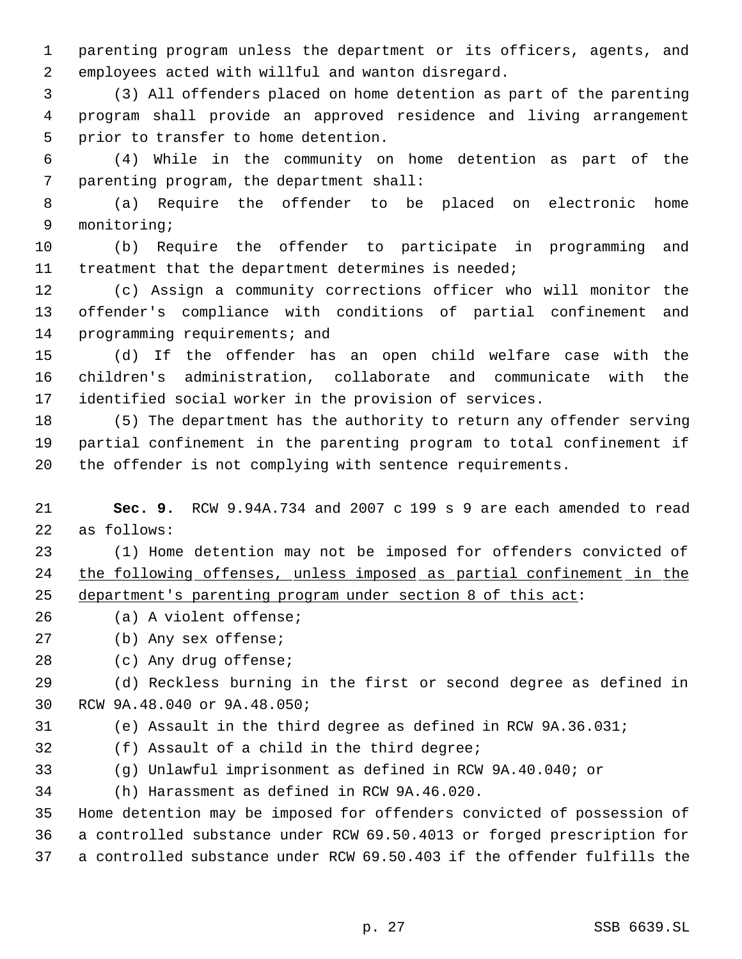parenting program unless the department or its officers, agents, and employees acted with willful and wanton disregard.

 (3) All offenders placed on home detention as part of the parenting program shall provide an approved residence and living arrangement prior to transfer to home detention.

 (4) While in the community on home detention as part of the parenting program, the department shall:

 (a) Require the offender to be placed on electronic home monitoring;

 (b) Require the offender to participate in programming and 11 treatment that the department determines is needed;

 (c) Assign a community corrections officer who will monitor the offender's compliance with conditions of partial confinement and 14 programming requirements; and

 (d) If the offender has an open child welfare case with the children's administration, collaborate and communicate with the identified social worker in the provision of services.

 (5) The department has the authority to return any offender serving partial confinement in the parenting program to total confinement if the offender is not complying with sentence requirements.

 **Sec. 9.** RCW 9.94A.734 and 2007 c 199 s 9 are each amended to read as follows:

 (1) Home detention may not be imposed for offenders convicted of the following offenses, unless imposed as partial confinement in the department's parenting program under section 8 of this act:

- (a) A violent offense;
- (b) Any sex offense;

(c) Any drug offense;

 (d) Reckless burning in the first or second degree as defined in RCW 9A.48.040 or 9A.48.050;

- (e) Assault in the third degree as defined in RCW 9A.36.031;
- (f) Assault of a child in the third degree;
- (g) Unlawful imprisonment as defined in RCW 9A.40.040; or

(h) Harassment as defined in RCW 9A.46.020.

 Home detention may be imposed for offenders convicted of possession of a controlled substance under RCW 69.50.4013 or forged prescription for a controlled substance under RCW 69.50.403 if the offender fulfills the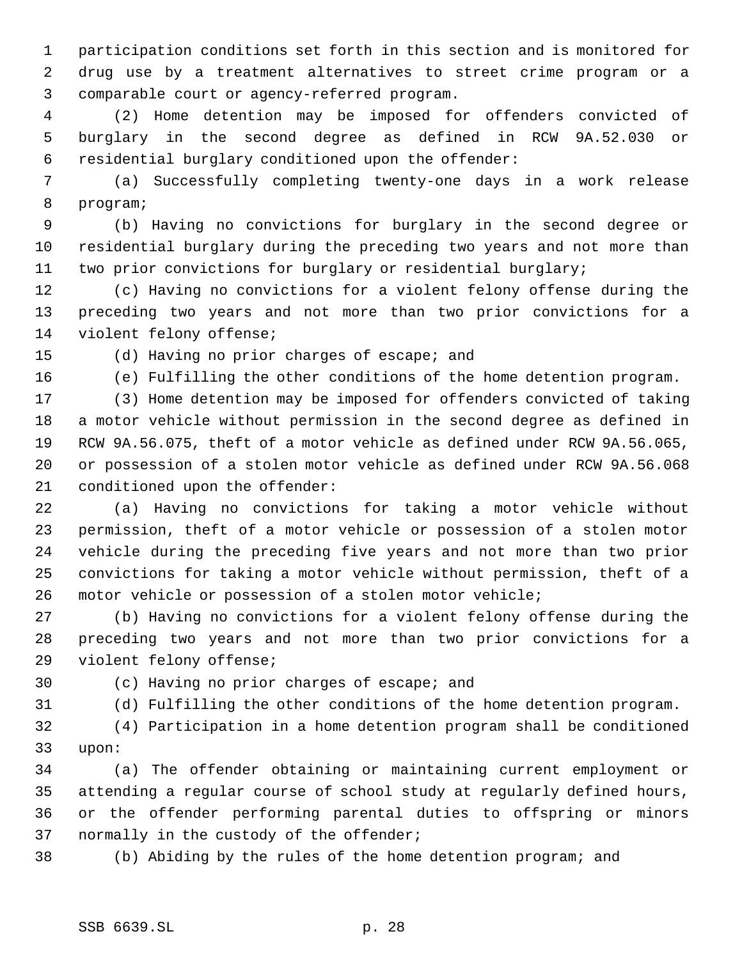participation conditions set forth in this section and is monitored for drug use by a treatment alternatives to street crime program or a comparable court or agency-referred program.

 (2) Home detention may be imposed for offenders convicted of burglary in the second degree as defined in RCW 9A.52.030 or residential burglary conditioned upon the offender:

 (a) Successfully completing twenty-one days in a work release program;

 (b) Having no convictions for burglary in the second degree or residential burglary during the preceding two years and not more than two prior convictions for burglary or residential burglary;

 (c) Having no convictions for a violent felony offense during the preceding two years and not more than two prior convictions for a violent felony offense;

# (d) Having no prior charges of escape; and

(e) Fulfilling the other conditions of the home detention program.

 (3) Home detention may be imposed for offenders convicted of taking a motor vehicle without permission in the second degree as defined in RCW 9A.56.075, theft of a motor vehicle as defined under RCW 9A.56.065, or possession of a stolen motor vehicle as defined under RCW 9A.56.068 conditioned upon the offender:

 (a) Having no convictions for taking a motor vehicle without permission, theft of a motor vehicle or possession of a stolen motor vehicle during the preceding five years and not more than two prior convictions for taking a motor vehicle without permission, theft of a motor vehicle or possession of a stolen motor vehicle;

 (b) Having no convictions for a violent felony offense during the preceding two years and not more than two prior convictions for a violent felony offense;

(c) Having no prior charges of escape; and

(d) Fulfilling the other conditions of the home detention program.

 (4) Participation in a home detention program shall be conditioned upon:

 (a) The offender obtaining or maintaining current employment or attending a regular course of school study at regularly defined hours, or the offender performing parental duties to offspring or minors normally in the custody of the offender;

(b) Abiding by the rules of the home detention program; and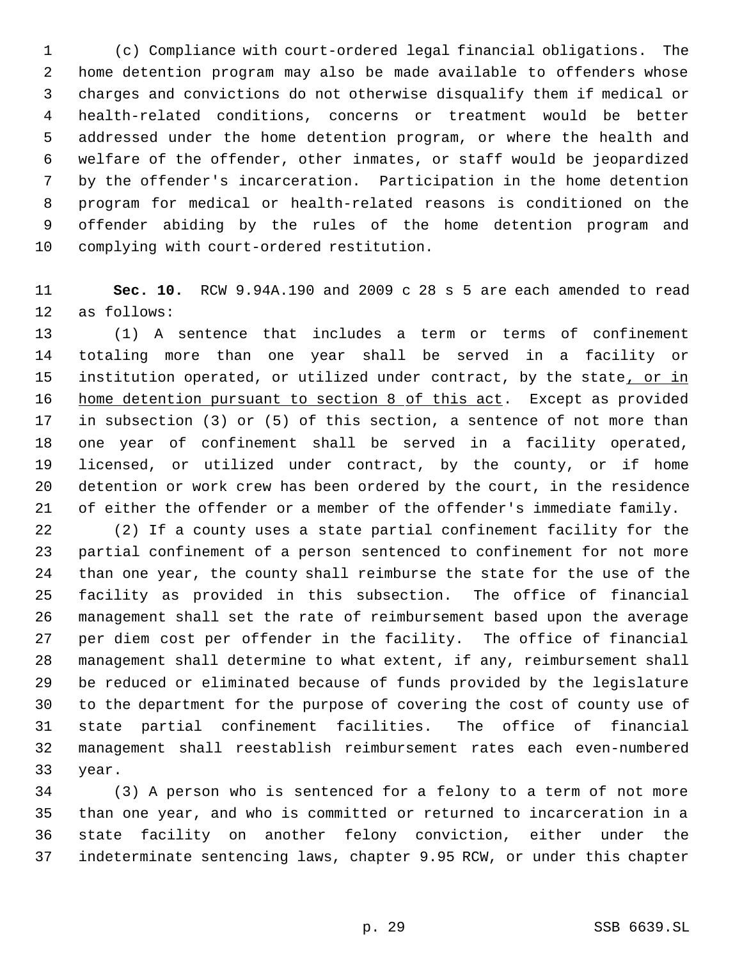1 (c) Compliance with court-ordered legal financial obligations. The home detention program may also be made available to offenders whose charges and convictions do not otherwise disqualify them if medical or health-related conditions, concerns or treatment would be better addressed under the home detention program, or where the health and welfare of the offender, other inmates, or staff would be jeopardized by the offender's incarceration. Participation in the home detention program for medical or health-related reasons is conditioned on the offender abiding by the rules of the home detention program and complying with court-ordered restitution.

 **Sec. 10.** RCW 9.94A.190 and 2009 c 28 s 5 are each amended to read as follows:

 (1) A sentence that includes a term or terms of confinement totaling more than one year shall be served in a facility or 15 institution operated, or utilized under contract, by the state, or in 16 home detention pursuant to section 8 of this act. Except as provided in subsection (3) or (5) of this section, a sentence of not more than one year of confinement shall be served in a facility operated, licensed, or utilized under contract, by the county, or if home detention or work crew has been ordered by the court, in the residence of either the offender or a member of the offender's immediate family.

 (2) If a county uses a state partial confinement facility for the partial confinement of a person sentenced to confinement for not more than one year, the county shall reimburse the state for the use of the facility as provided in this subsection. The office of financial management shall set the rate of reimbursement based upon the average per diem cost per offender in the facility. The office of financial management shall determine to what extent, if any, reimbursement shall be reduced or eliminated because of funds provided by the legislature to the department for the purpose of covering the cost of county use of state partial confinement facilities. The office of financial management shall reestablish reimbursement rates each even-numbered year.

 (3) A person who is sentenced for a felony to a term of not more than one year, and who is committed or returned to incarceration in a state facility on another felony conviction, either under the indeterminate sentencing laws, chapter 9.95 RCW, or under this chapter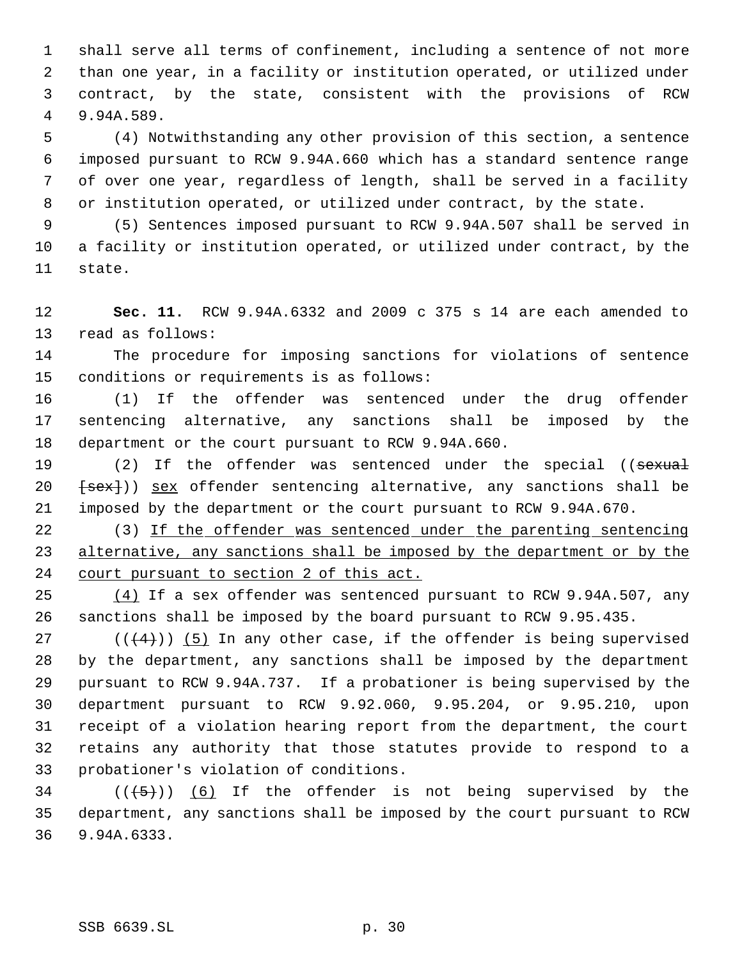shall serve all terms of confinement, including a sentence of not more than one year, in a facility or institution operated, or utilized under contract, by the state, consistent with the provisions of RCW 9.94A.589.

 (4) Notwithstanding any other provision of this section, a sentence imposed pursuant to RCW 9.94A.660 which has a standard sentence range of over one year, regardless of length, shall be served in a facility or institution operated, or utilized under contract, by the state.

 (5) Sentences imposed pursuant to RCW 9.94A.507 shall be served in a facility or institution operated, or utilized under contract, by the state.

 **Sec. 11.** RCW 9.94A.6332 and 2009 c 375 s 14 are each amended to read as follows:

 The procedure for imposing sanctions for violations of sentence conditions or requirements is as follows:

 (1) If the offender was sentenced under the drug offender sentencing alternative, any sanctions shall be imposed by the department or the court pursuant to RCW 9.94A.660.

19 (2) If the offender was sentenced under the special ((sexual  $\{sex\})$  sex offender sentencing alternative, any sanctions shall be imposed by the department or the court pursuant to RCW 9.94A.670.

22 (3) If the offender was sentenced under the parenting sentencing 23 alternative, any sanctions shall be imposed by the department or by the court pursuant to section 2 of this act.

 (4) If a sex offender was sentenced pursuant to RCW 9.94A.507, any sanctions shall be imposed by the board pursuant to RCW 9.95.435.

 $((+4))$  (5) In any other case, if the offender is being supervised by the department, any sanctions shall be imposed by the department pursuant to RCW 9.94A.737. If a probationer is being supervised by the department pursuant to RCW 9.92.060, 9.95.204, or 9.95.210, upon receipt of a violation hearing report from the department, the court retains any authority that those statutes provide to respond to a probationer's violation of conditions.

34  $((+5))$   $(6)$  If the offender is not being supervised by the department, any sanctions shall be imposed by the court pursuant to RCW 9.94A.6333.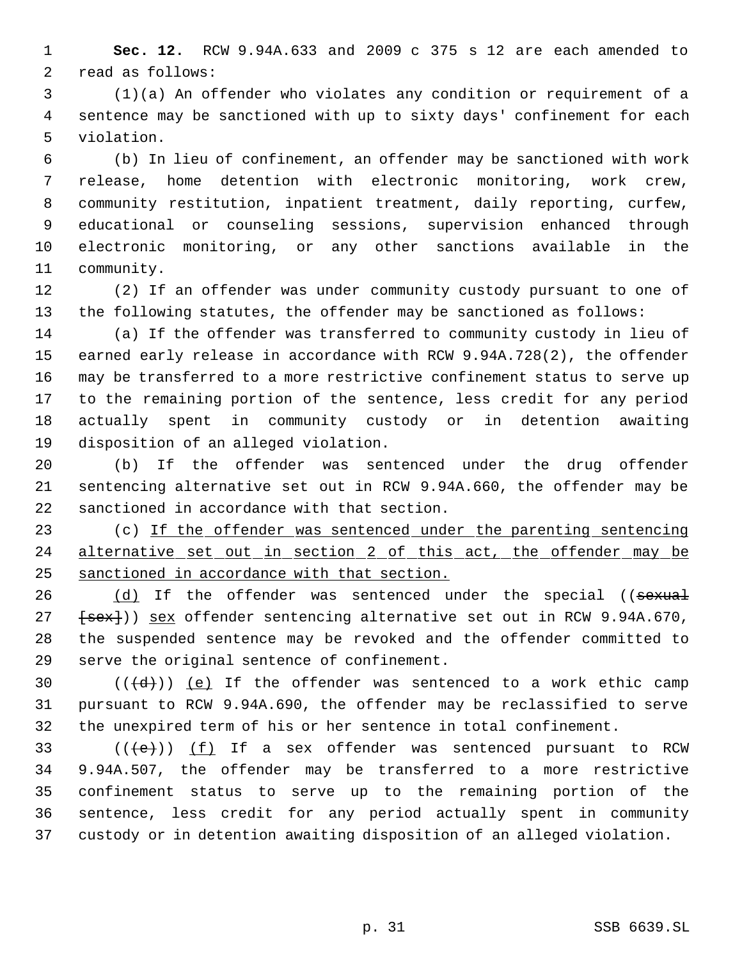**Sec. 12.** RCW 9.94A.633 and 2009 c 375 s 12 are each amended to read as follows:

 (1)(a) An offender who violates any condition or requirement of a sentence may be sanctioned with up to sixty days' confinement for each violation.

 (b) In lieu of confinement, an offender may be sanctioned with work release, home detention with electronic monitoring, work crew, community restitution, inpatient treatment, daily reporting, curfew, educational or counseling sessions, supervision enhanced through electronic monitoring, or any other sanctions available in the community.

 (2) If an offender was under community custody pursuant to one of the following statutes, the offender may be sanctioned as follows:

 (a) If the offender was transferred to community custody in lieu of earned early release in accordance with RCW 9.94A.728(2), the offender may be transferred to a more restrictive confinement status to serve up to the remaining portion of the sentence, less credit for any period actually spent in community custody or in detention awaiting disposition of an alleged violation.

 (b) If the offender was sentenced under the drug offender sentencing alternative set out in RCW 9.94A.660, the offender may be sanctioned in accordance with that section.

23 (c) If the offender was sentenced under the parenting sentencing 24 alternative set out in section 2 of this act, the offender may be sanctioned in accordance with that section.

26 (d) If the offender was sentenced under the special ((sexual 27 [sex])) sex offender sentencing alternative set out in RCW 9.94A.670, the suspended sentence may be revoked and the offender committed to serve the original sentence of confinement.

30  $((\{d\})$  (e) If the offender was sentenced to a work ethic camp pursuant to RCW 9.94A.690, the offender may be reclassified to serve the unexpired term of his or her sentence in total confinement.

 $((e))$   $(f)$  If a sex offender was sentenced pursuant to RCW 9.94A.507, the offender may be transferred to a more restrictive confinement status to serve up to the remaining portion of the sentence, less credit for any period actually spent in community custody or in detention awaiting disposition of an alleged violation.